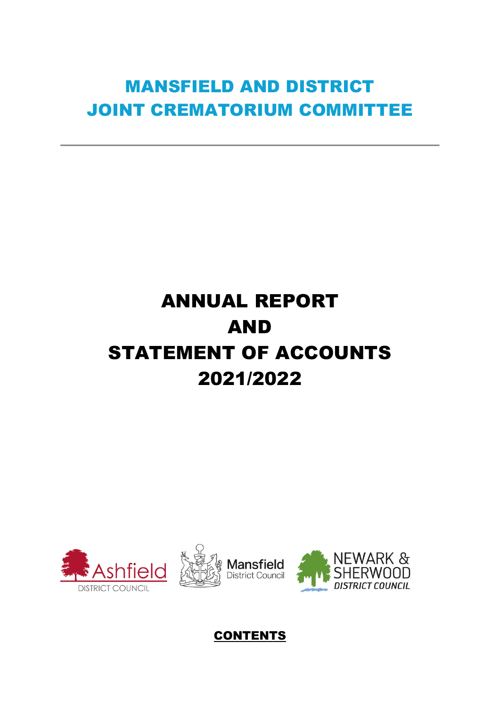# MANSFIELD AND DISTRICT JOINT CREMATORIUM COMMITTEE

# ANNUAL REPORT AND STATEMENT OF ACCOUNTS 2021/2022





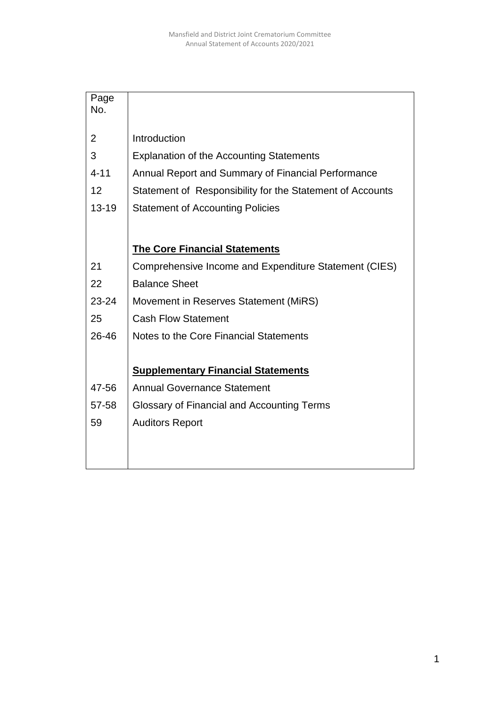| Page<br>No. |                                                           |
|-------------|-----------------------------------------------------------|
|             |                                                           |
| 2           | Introduction                                              |
| 3           | <b>Explanation of the Accounting Statements</b>           |
| $4 - 11$    | Annual Report and Summary of Financial Performance        |
| 12          | Statement of Responsibility for the Statement of Accounts |
| $13 - 19$   | <b>Statement of Accounting Policies</b>                   |
|             |                                                           |
|             | <b>The Core Financial Statements</b>                      |
|             |                                                           |
| 21          | Comprehensive Income and Expenditure Statement (CIES)     |
| 22          | <b>Balance Sheet</b>                                      |
| 23-24       | Movement in Reserves Statement (MiRS)                     |
| 25          | <b>Cash Flow Statement</b>                                |
| 26-46       | Notes to the Core Financial Statements                    |
|             |                                                           |
|             | <b>Supplementary Financial Statements</b>                 |
| 47-56       | <b>Annual Governance Statement</b>                        |
| 57-58       | Glossary of Financial and Accounting Terms                |
| 59          | <b>Auditors Report</b>                                    |
|             |                                                           |
|             |                                                           |
|             |                                                           |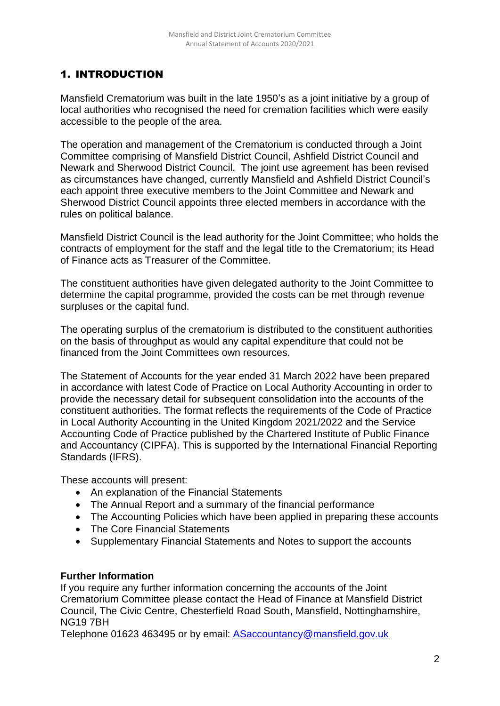# 1. INTRODUCTION

Mansfield Crematorium was built in the late 1950's as a joint initiative by a group of local authorities who recognised the need for cremation facilities which were easily accessible to the people of the area.

The operation and management of the Crematorium is conducted through a Joint Committee comprising of Mansfield District Council, Ashfield District Council and Newark and Sherwood District Council. The joint use agreement has been revised as circumstances have changed, currently Mansfield and Ashfield District Council's each appoint three executive members to the Joint Committee and Newark and Sherwood District Council appoints three elected members in accordance with the rules on political balance.

Mansfield District Council is the lead authority for the Joint Committee; who holds the contracts of employment for the staff and the legal title to the Crematorium; its Head of Finance acts as Treasurer of the Committee.

The constituent authorities have given delegated authority to the Joint Committee to determine the capital programme, provided the costs can be met through revenue surpluses or the capital fund.

The operating surplus of the crematorium is distributed to the constituent authorities on the basis of throughput as would any capital expenditure that could not be financed from the Joint Committees own resources.

The Statement of Accounts for the year ended 31 March 2022 have been prepared in accordance with latest Code of Practice on Local Authority Accounting in order to provide the necessary detail for subsequent consolidation into the accounts of the constituent authorities. The format reflects the requirements of the Code of Practice in Local Authority Accounting in the United Kingdom 2021/2022 and the Service Accounting Code of Practice published by the Chartered Institute of Public Finance and Accountancy (CIPFA). This is supported by the International Financial Reporting Standards (IFRS).

These accounts will present:

- An explanation of the Financial Statements
- The Annual Report and a summary of the financial performance
- The Accounting Policies which have been applied in preparing these accounts
- The Core Financial Statements
- Supplementary Financial Statements and Notes to support the accounts

## **Further Information**

If you require any further information concerning the accounts of the Joint Crematorium Committee please contact the Head of Finance at Mansfield District Council, The Civic Centre, Chesterfield Road South, Mansfield, Nottinghamshire, NG19 7BH

Telephone 01623 463495 or by email: [ASaccountancy@mansfield.gov.uk](mailto:ASaccountancy@mansfield.gov.uk)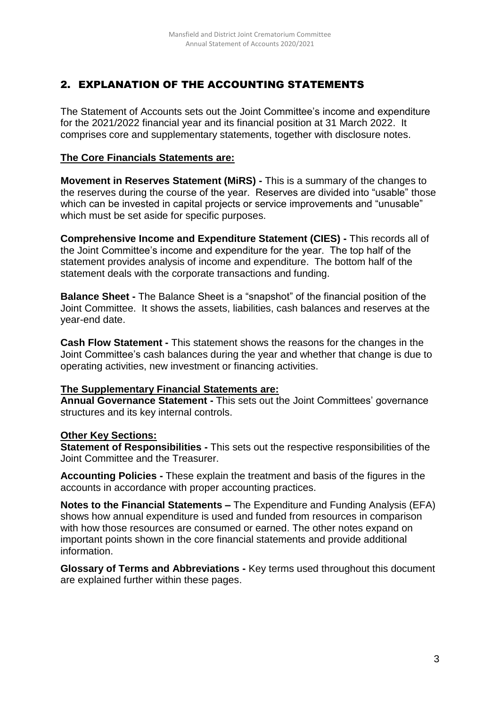# 2. EXPLANATION OF THE ACCOUNTING STATEMENTS

The Statement of Accounts sets out the Joint Committee's income and expenditure for the 2021/2022 financial year and its financial position at 31 March 2022. It comprises core and supplementary statements, together with disclosure notes.

## **The Core Financials Statements are:**

**Movement in Reserves Statement (MiRS) -** This is a summary of the changes to the reserves during the course of the year. Reserves are divided into "usable" those which can be invested in capital projects or service improvements and "unusable" which must be set aside for specific purposes.

**Comprehensive Income and Expenditure Statement (CIES) -** This records all of the Joint Committee's income and expenditure for the year. The top half of the statement provides analysis of income and expenditure. The bottom half of the statement deals with the corporate transactions and funding.

**Balance Sheet -** The Balance Sheet is a "snapshot" of the financial position of the Joint Committee. It shows the assets, liabilities, cash balances and reserves at the year-end date.

**Cash Flow Statement -** This statement shows the reasons for the changes in the Joint Committee's cash balances during the year and whether that change is due to operating activities, new investment or financing activities.

## **The Supplementary Financial Statements are:**

**Annual Governance Statement -** This sets out the Joint Committees' governance structures and its key internal controls.

## **Other Key Sections:**

**Statement of Responsibilities -** This sets out the respective responsibilities of the Joint Committee and the Treasurer.

**Accounting Policies -** These explain the treatment and basis of the figures in the accounts in accordance with proper accounting practices.

**Notes to the Financial Statements –** The Expenditure and Funding Analysis (EFA) shows how annual expenditure is used and funded from resources in comparison with how those resources are consumed or earned. The other notes expand on important points shown in the core financial statements and provide additional information.

**Glossary of Terms and Abbreviations -** Key terms used throughout this document are explained further within these pages.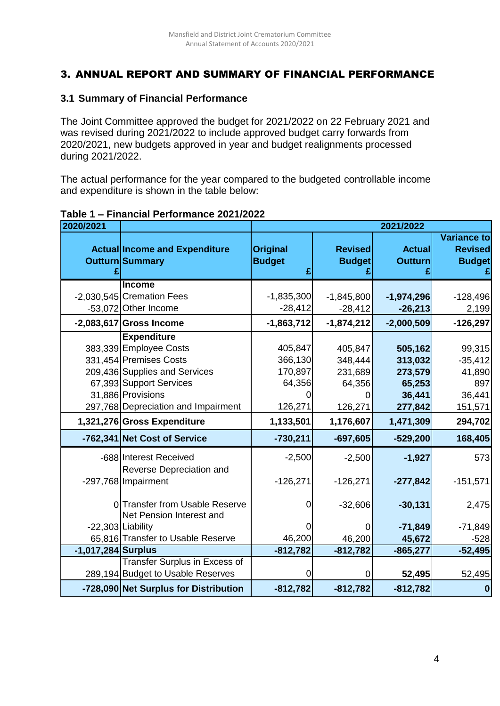# 3. ANNUAL REPORT AND SUMMARY OF FINANCIAL PERFORMANCE

#### **3.1 Summary of Financial Performance**

The Joint Committee approved the budget for 2021/2022 on 22 February 2021 and was revised during 2021/2022 to include approved budget carry forwards from 2020/2021, new budgets approved in year and budget realignments processed during 2021/2022.

The actual performance for the year compared to the budgeted controllable income and expenditure is shown in the table below:

| 2020/2021          |                                                            | 2021/2022                        |                                 |                                 |                                                       |  |  |
|--------------------|------------------------------------------------------------|----------------------------------|---------------------------------|---------------------------------|-------------------------------------------------------|--|--|
|                    | <b>Actual Income and Expenditure</b><br>Outturn Summary    | <b>Original</b><br><b>Budget</b> | <b>Revised</b><br><b>Budget</b> | <b>Actual</b><br><b>Outturn</b> | <b>Variance to</b><br><b>Revised</b><br><b>Budget</b> |  |  |
|                    | <b>Income</b>                                              |                                  |                                 |                                 |                                                       |  |  |
|                    | -2,030,545 Cremation Fees                                  | $-1,835,300$                     | $-1,845,800$                    | $-1,974,296$                    | $-128,496$                                            |  |  |
|                    | -53,072 Other Income                                       | $-28,412$                        | $-28,412$                       | $-26,213$                       | 2,199                                                 |  |  |
|                    | $-2,083,617$ Gross Income                                  | $-1,863,712$                     | $-1,874,212$                    | $-2,000,509$                    | $-126,297$                                            |  |  |
|                    | <b>Expenditure</b>                                         |                                  |                                 |                                 |                                                       |  |  |
|                    | 383,339 Employee Costs                                     | 405,847                          | 405,847                         | 505,162                         | 99,315                                                |  |  |
|                    | 331,454 Premises Costs                                     | 366,130                          | 348,444                         | 313,032                         | $-35,412$                                             |  |  |
|                    | 209,436 Supplies and Services                              | 170,897                          | 231,689                         | 273,579                         | 41,890                                                |  |  |
|                    | 67,393 Support Services                                    | 64,356                           | 64,356                          | 65,253                          | 897                                                   |  |  |
|                    | 31,886 Provisions                                          |                                  |                                 | 36,441                          | 36,441                                                |  |  |
|                    | 297,768 Depreciation and Impairment                        | 126,271                          | 126,271                         | 277,842                         | 151,571                                               |  |  |
|                    | 1,321,276 Gross Expenditure                                | 1,133,501                        | 1,176,607                       | 1,471,309                       | 294,702                                               |  |  |
|                    | -762,341 Net Cost of Service                               | $-730,211$                       | $-697,605$                      | $-529,200$                      | 168,405                                               |  |  |
|                    | -688 Interest Received<br>Reverse Depreciation and         | $-2,500$                         | $-2,500$                        | $-1,927$                        | 573                                                   |  |  |
|                    | -297,768 Impairment                                        | $-126,271$                       | $-126,271$                      | $-277,842$                      | $-151,571$                                            |  |  |
|                    | 0 Transfer from Usable Reserve<br>Net Pension Interest and |                                  | $-32,606$                       | $-30,131$                       | 2,475                                                 |  |  |
|                    | -22,303 Liability                                          |                                  | 0                               | $-71,849$                       | $-71,849$                                             |  |  |
|                    | 65,816 Transfer to Usable Reserve                          | 46,200                           | 46,200                          | 45,672                          | $-528$                                                |  |  |
| -1,017,284 Surplus |                                                            | $-812,782$                       | $-812,782$                      | $-865,277$                      | $-52,495$                                             |  |  |
|                    | <b>Transfer Surplus in Excess of</b>                       |                                  |                                 |                                 |                                                       |  |  |
|                    | 289,194 Budget to Usable Reserves                          |                                  | 0                               | 52,495                          | 52,495                                                |  |  |
|                    | -728,090 Net Surplus for Distribution                      | $-812,782$                       | $-812,782$                      | $-812,782$                      | $\boldsymbol{0}$                                      |  |  |

#### **Table 1 – Financial Performance 2021/2022**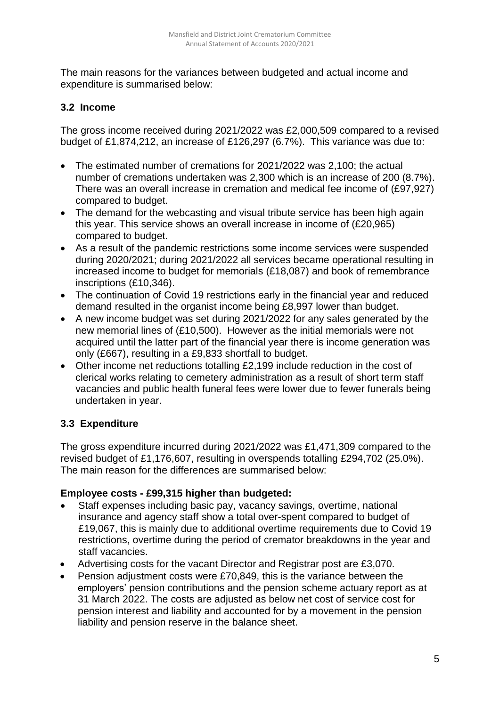The main reasons for the variances between budgeted and actual income and expenditure is summarised below:

## **3.2 Income**

The gross income received during 2021/2022 was £2,000,509 compared to a revised budget of £1,874,212, an increase of £126,297 (6.7%). This variance was due to:

- The estimated number of cremations for 2021/2022 was 2,100; the actual number of cremations undertaken was 2,300 which is an increase of 200 (8.7%). There was an overall increase in cremation and medical fee income of (£97,927) compared to budget.
- The demand for the webcasting and visual tribute service has been high again this year. This service shows an overall increase in income of (£20,965) compared to budget.
- As a result of the pandemic restrictions some income services were suspended during 2020/2021; during 2021/2022 all services became operational resulting in increased income to budget for memorials (£18,087) and book of remembrance inscriptions (£10,346).
- The continuation of Covid 19 restrictions early in the financial year and reduced demand resulted in the organist income being £8,997 lower than budget.
- A new income budget was set during 2021/2022 for any sales generated by the new memorial lines of (£10,500). However as the initial memorials were not acquired until the latter part of the financial year there is income generation was only (£667), resulting in a £9,833 shortfall to budget.
- Other income net reductions totalling £2,199 include reduction in the cost of clerical works relating to cemetery administration as a result of short term staff vacancies and public health funeral fees were lower due to fewer funerals being undertaken in year.

# **3.3 Expenditure**

The gross expenditure incurred during 2021/2022 was £1,471,309 compared to the revised budget of £1,176,607, resulting in overspends totalling £294,702 (25.0%). The main reason for the differences are summarised below:

## **Employee costs - £99,315 higher than budgeted:**

- Staff expenses including basic pay, vacancy savings, overtime, national insurance and agency staff show a total over-spent compared to budget of £19,067, this is mainly due to additional overtime requirements due to Covid 19 restrictions, overtime during the period of cremator breakdowns in the year and staff vacancies.
- Advertising costs for the vacant Director and Registrar post are £3,070.
- Pension adjustment costs were £70,849, this is the variance between the employers' pension contributions and the pension scheme actuary report as at 31 March 2022. The costs are adjusted as below net cost of service cost for pension interest and liability and accounted for by a movement in the pension liability and pension reserve in the balance sheet.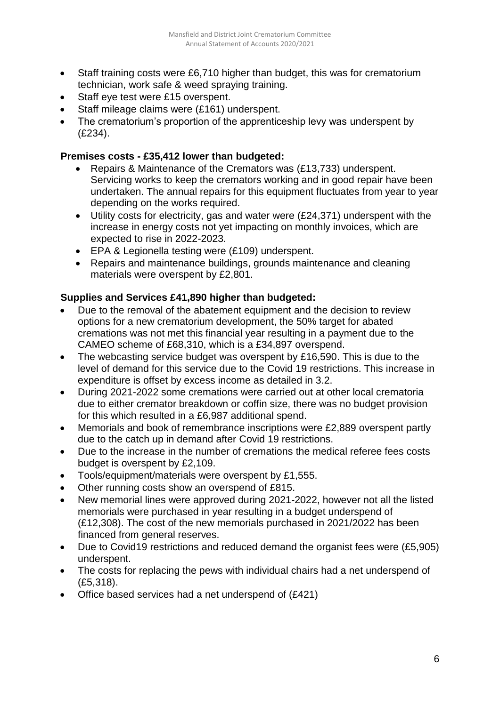- Staff training costs were £6,710 higher than budget, this was for crematorium technician, work safe & weed spraying training.
- Staff eye test were £15 overspent.
- Staff mileage claims were (£161) underspent.
- The crematorium's proportion of the apprenticeship levy was underspent by (£234).

#### **Premises costs - £35,412 lower than budgeted:**

- Repairs & Maintenance of the Cremators was (£13,733) underspent. Servicing works to keep the cremators working and in good repair have been undertaken. The annual repairs for this equipment fluctuates from year to year depending on the works required.
- Utility costs for electricity, gas and water were (£24,371) underspent with the increase in energy costs not yet impacting on monthly invoices, which are expected to rise in 2022-2023.
- EPA & Legionella testing were (£109) underspent.
- Repairs and maintenance buildings, grounds maintenance and cleaning materials were overspent by £2,801.

#### **Supplies and Services £41,890 higher than budgeted:**

- Due to the removal of the abatement equipment and the decision to review options for a new crematorium development, the 50% target for abated cremations was not met this financial year resulting in a payment due to the CAMEO scheme of £68,310, which is a £34,897 overspend.
- The webcasting service budget was overspent by £16,590. This is due to the level of demand for this service due to the Covid 19 restrictions. This increase in expenditure is offset by excess income as detailed in 3.2.
- During 2021-2022 some cremations were carried out at other local crematoria due to either cremator breakdown or coffin size, there was no budget provision for this which resulted in a £6,987 additional spend.
- Memorials and book of remembrance inscriptions were £2,889 overspent partly due to the catch up in demand after Covid 19 restrictions.
- Due to the increase in the number of cremations the medical referee fees costs budget is overspent by £2,109.
- Tools/equipment/materials were overspent by £1,555.
- Other running costs show an overspend of £815.
- New memorial lines were approved during 2021-2022, however not all the listed memorials were purchased in year resulting in a budget underspend of (£12,308). The cost of the new memorials purchased in 2021/2022 has been financed from general reserves.
- Due to Covid19 restrictions and reduced demand the organist fees were (£5,905) underspent.
- The costs for replacing the pews with individual chairs had a net underspend of (£5,318).
- Office based services had a net underspend of (£421)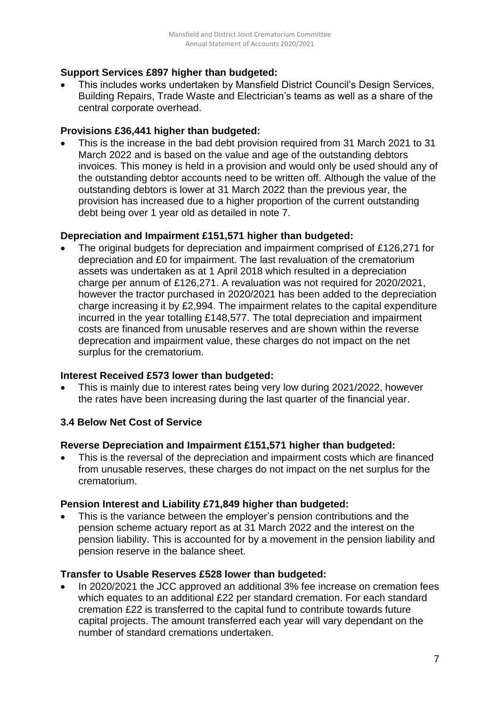## **Support Services £897 higher than budgeted:**

 This includes works undertaken by Mansfield District Council's Design Services, Building Repairs, Trade Waste and Electrician's teams as well as a share of the central corporate overhead.

#### **Provisions £36,441 higher than budgeted:**

 This is the increase in the bad debt provision required from 31 March 2021 to 31 March 2022 and is based on the value and age of the outstanding debtors invoices. This money is held in a provision and would only be used should any of the outstanding debtor accounts need to be written off. Although the value of the outstanding debtors is lower at 31 March 2022 than the previous year, the provision has increased due to a higher proportion of the current outstanding debt being over 1 year old as detailed in note 7.

## **Depreciation and Impairment £151,571 higher than budgeted:**

 The original budgets for depreciation and impairment comprised of £126,271 for depreciation and £0 for impairment. The last revaluation of the crematorium assets was undertaken as at 1 April 2018 which resulted in a depreciation charge per annum of £126,271. A revaluation was not required for 2020/2021, however the tractor purchased in 2020/2021 has been added to the depreciation charge increasing it by £2,994. The impairment relates to the capital expenditure incurred in the year totalling £148,577. The total depreciation and impairment costs are financed from unusable reserves and are shown within the reverse deprecation and impairment value, these charges do not impact on the net surplus for the crematorium.

#### **Interest Received £573 lower than budgeted:**

 This is mainly due to interest rates being very low during 2021/2022, however the rates have been increasing during the last quarter of the financial year.

## **3.4 Below Net Cost of Service**

#### **Reverse Depreciation and Impairment £151,571 higher than budgeted:**

• This is the reversal of the depreciation and impairment costs which are financed from unusable reserves, these charges do not impact on the net surplus for the crematorium.

## **Pension Interest and Liability £71,849 higher than budgeted:**

 This is the variance between the employer's pension contributions and the pension scheme actuary report as at 31 March 2022 and the interest on the pension liability. This is accounted for by a movement in the pension liability and pension reserve in the balance sheet.

#### **Transfer to Usable Reserves £528 lower than budgeted:**

 In 2020/2021 the JCC approved an additional 3% fee increase on cremation fees which equates to an additional £22 per standard cremation. For each standard cremation £22 is transferred to the capital fund to contribute towards future capital projects. The amount transferred each year will vary dependant on the number of standard cremations undertaken.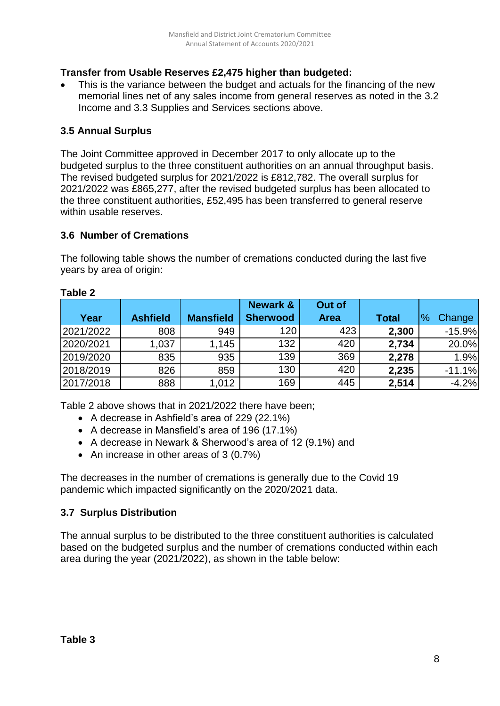# **Transfer from Usable Reserves £2,475 higher than budgeted:**

 This is the variance between the budget and actuals for the financing of the new memorial lines net of any sales income from general reserves as noted in the 3.2 Income and 3.3 Supplies and Services sections above.

## **3.5 Annual Surplus**

The Joint Committee approved in December 2017 to only allocate up to the budgeted surplus to the three constituent authorities on an annual throughput basis. The revised budgeted surplus for 2021/2022 is £812,782. The overall surplus for 2021/2022 was £865,277, after the revised budgeted surplus has been allocated to the three constituent authorities, £52,495 has been transferred to general reserve within usable reserves.

#### **3.6 Number of Cremations**

The following table shows the number of cremations conducted during the last five years by area of origin:

|           |                 |                  | <b>Newark &amp;</b> | Out of      |              |                         |
|-----------|-----------------|------------------|---------------------|-------------|--------------|-------------------------|
| Year      | <b>Ashfield</b> | <b>Mansfield</b> | <b>Sherwood</b>     | <b>Area</b> | <b>Total</b> | $\frac{0}{0}$<br>Change |
| 2021/2022 | 808             | 949              | 120                 | 423         | 2,300        | $-15.9%$                |
| 2020/2021 | 1,037           | 1,145            | 132                 | 420         | 2,734        | 20.0%                   |
| 2019/2020 | 835             | 935              | 139                 | 369         | 2,278        | 1.9%                    |
| 2018/2019 | 826             | 859              | 130                 | 420         | 2,235        | $-11.1%$                |
| 2017/2018 | 888             | 1,012            | 169                 | 445         | 2,514        | $-4.2%$                 |

#### **Table 2**

Table 2 above shows that in 2021/2022 there have been;

- A decrease in Ashfield's area of 229 (22.1%)
- A decrease in Mansfield's area of 196 (17.1%)
- A decrease in Newark & Sherwood's area of 12 (9.1%) and
- An increase in other areas of 3 (0.7%)

The decreases in the number of cremations is generally due to the Covid 19 pandemic which impacted significantly on the 2020/2021 data.

## **3.7 Surplus Distribution**

The annual surplus to be distributed to the three constituent authorities is calculated based on the budgeted surplus and the number of cremations conducted within each area during the year (2021/2022), as shown in the table below: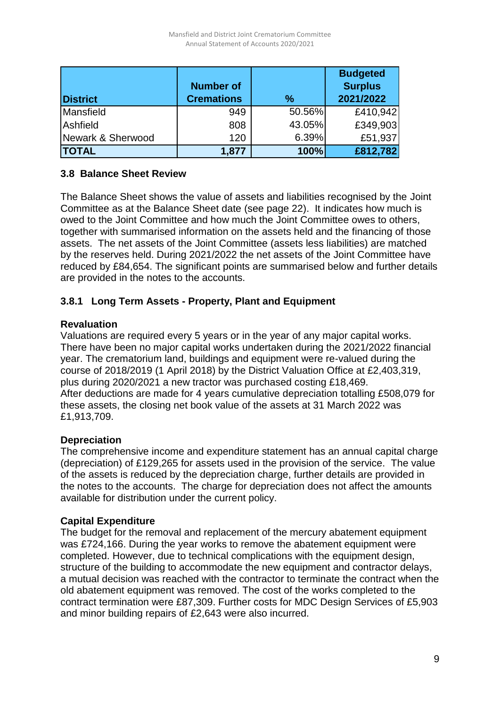|                   |                   |               | <b>Budgeted</b> |
|-------------------|-------------------|---------------|-----------------|
|                   | <b>Number of</b>  |               | <b>Surplus</b>  |
| <b>District</b>   | <b>Cremations</b> | $\frac{0}{0}$ | 2021/2022       |
| Mansfield         | 949               | 50.56%        | £410,942        |
| Ashfield          | 808               | 43.05%        | £349,903        |
| Newark & Sherwood | 120               | 6.39%         | £51,937         |
| <b>TOTAL</b>      | 1,877             | 100%          | £812,782        |

## **3.8 Balance Sheet Review**

The Balance Sheet shows the value of assets and liabilities recognised by the Joint Committee as at the Balance Sheet date (see page 22). It indicates how much is owed to the Joint Committee and how much the Joint Committee owes to others, together with summarised information on the assets held and the financing of those assets. The net assets of the Joint Committee (assets less liabilities) are matched by the reserves held. During 2021/2022 the net assets of the Joint Committee have reduced by £84,654. The significant points are summarised below and further details are provided in the notes to the accounts.

## **3.8.1 Long Term Assets - Property, Plant and Equipment**

## **Revaluation**

Valuations are required every 5 years or in the year of any major capital works. There have been no major capital works undertaken during the 2021/2022 financial year. The crematorium land, buildings and equipment were re-valued during the course of 2018/2019 (1 April 2018) by the District Valuation Office at £2,403,319, plus during 2020/2021 a new tractor was purchased costing £18,469. After deductions are made for 4 years cumulative depreciation totalling £508,079 for these assets, the closing net book value of the assets at 31 March 2022 was £1,913,709.

## **Depreciation**

The comprehensive income and expenditure statement has an annual capital charge (depreciation) of £129,265 for assets used in the provision of the service. The value of the assets is reduced by the depreciation charge, further details are provided in the notes to the accounts. The charge for depreciation does not affect the amounts available for distribution under the current policy.

#### **Capital Expenditure**

The budget for the removal and replacement of the mercury abatement equipment was £724,166. During the year works to remove the abatement equipment were completed. However, due to technical complications with the equipment design, structure of the building to accommodate the new equipment and contractor delays, a mutual decision was reached with the contractor to terminate the contract when the old abatement equipment was removed. The cost of the works completed to the contract termination were £87,309. Further costs for MDC Design Services of £5,903 and minor building repairs of £2,643 were also incurred.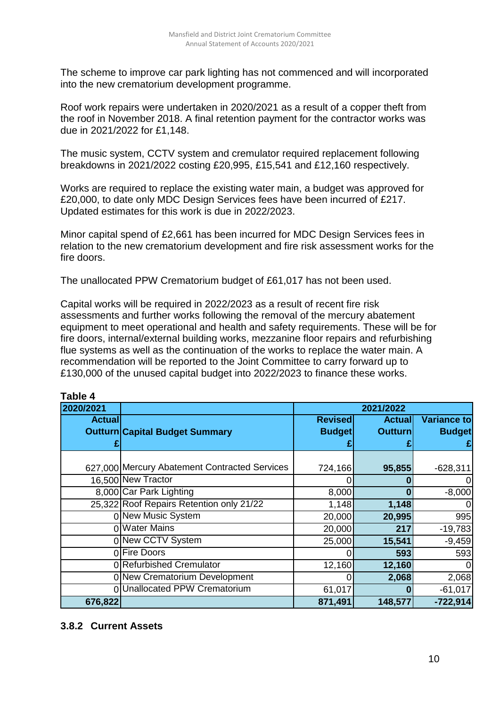The scheme to improve car park lighting has not commenced and will incorporated into the new crematorium development programme.

Roof work repairs were undertaken in 2020/2021 as a result of a copper theft from the roof in November 2018. A final retention payment for the contractor works was due in 2021/2022 for £1,148.

The music system, CCTV system and cremulator required replacement following breakdowns in 2021/2022 costing £20,995, £15,541 and £12,160 respectively.

Works are required to replace the existing water main, a budget was approved for £20,000, to date only MDC Design Services fees have been incurred of £217. Updated estimates for this work is due in 2022/2023.

Minor capital spend of £2,661 has been incurred for MDC Design Services fees in relation to the new crematorium development and fire risk assessment works for the fire doors.

The unallocated PPW Crematorium budget of £61,017 has not been used.

Capital works will be required in 2022/2023 as a result of recent fire risk assessments and further works following the removal of the mercury abatement equipment to meet operational and health and safety requirements. These will be for fire doors, internal/external building works, mezzanine floor repairs and refurbishing flue systems as well as the continuation of the works to replace the water main. A recommendation will be reported to the Joint Committee to carry forward up to £130,000 of the unused capital budget into 2022/2023 to finance these works.

| Lawig 4       |                                               |                |                |               |  |  |  |
|---------------|-----------------------------------------------|----------------|----------------|---------------|--|--|--|
| 2020/2021     |                                               | 2021/2022      |                |               |  |  |  |
| <b>Actual</b> |                                               | <b>Revised</b> | <b>Actual</b>  | Variance to   |  |  |  |
|               | <b>Outturn Capital Budget Summary</b>         | <b>Budget</b>  | <b>Outturn</b> | <b>Budget</b> |  |  |  |
|               |                                               |                |                |               |  |  |  |
|               |                                               |                |                |               |  |  |  |
|               | 627,000 Mercury Abatement Contracted Services | 724,166        | 95,855         | $-628,311$    |  |  |  |
|               | 16,500 New Tractor                            |                |                |               |  |  |  |
|               | 8,000 Car Park Lighting                       | 8,000          |                | $-8,000$      |  |  |  |
|               | 25,322 Roof Repairs Retention only 21/22      | 1,148          | 1,148          |               |  |  |  |
|               | 0 New Music System                            | 20,000         | 20,995         | 995           |  |  |  |
|               | <b>Water Mains</b>                            | 20,000         | 217            | $-19,783$     |  |  |  |
|               | 0 New CCTV System                             | 25,000         | 15,541         | $-9,459$      |  |  |  |
|               | 0 Fire Doors                                  | O              | 593            | 593           |  |  |  |
|               | 0 Refurbished Cremulator                      | 12,160         | 12,160         |               |  |  |  |
|               | 0 New Crematorium Development                 | 0              | 2,068          | 2,068         |  |  |  |
| ΩI            | <b>Unallocated PPW Crematorium</b>            | 61,017         |                | $-61,017$     |  |  |  |
| 676,822       |                                               | 871,491        | 148,577        | $-722,914$    |  |  |  |

#### **Table 4**

#### **3.8.2 Current Assets**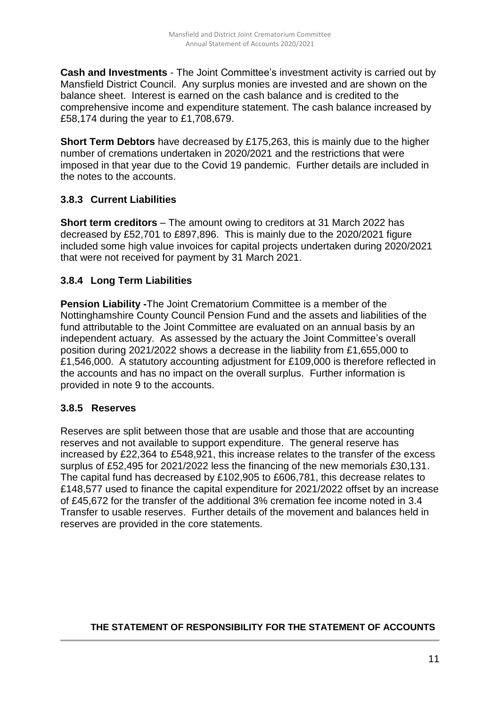**Cash and Investments** - The Joint Committee's investment activity is carried out by Mansfield District Council. Any surplus monies are invested and are shown on the balance sheet. Interest is earned on the cash balance and is credited to the comprehensive income and expenditure statement. The cash balance increased by £58,174 during the year to £1,708,679.

**Short Term Debtors** have decreased by £175,263, this is mainly due to the higher number of cremations undertaken in 2020/2021 and the restrictions that were imposed in that year due to the Covid 19 pandemic. Further details are included in the notes to the accounts.

## **3.8.3 Current Liabilities**

**Short term creditors** – The amount owing to creditors at 31 March 2022 has decreased by £52,701 to £897,896. This is mainly due to the 2020/2021 figure included some high value invoices for capital projects undertaken during 2020/2021 that were not received for payment by 31 March 2021.

## **3.8.4 Long Term Liabilities**

**Pension Liability -**The Joint Crematorium Committee is a member of the Nottinghamshire County Council Pension Fund and the assets and liabilities of the fund attributable to the Joint Committee are evaluated on an annual basis by an independent actuary. As assessed by the actuary the Joint Committee's overall position during 2021/2022 shows a decrease in the liability from £1,655,000 to £1,546,000. A statutory accounting adjustment for £109,000 is therefore reflected in the accounts and has no impact on the overall surplus. Further information is provided in note 9 to the accounts.

## **3.8.5 Reserves**

Reserves are split between those that are usable and those that are accounting reserves and not available to support expenditure. The general reserve has increased by £22,364 to £548,921, this increase relates to the transfer of the excess surplus of £52,495 for 2021/2022 less the financing of the new memorials £30,131. The capital fund has decreased by £102,905 to £606,781, this decrease relates to £148,577 used to finance the capital expenditure for 2021/2022 offset by an increase of £45,672 for the transfer of the additional 3% cremation fee income noted in 3.4 Transfer to usable reserves. Further details of the movement and balances held in reserves are provided in the core statements.

## **THE STATEMENT OF RESPONSIBILITY FOR THE STATEMENT OF ACCOUNTS**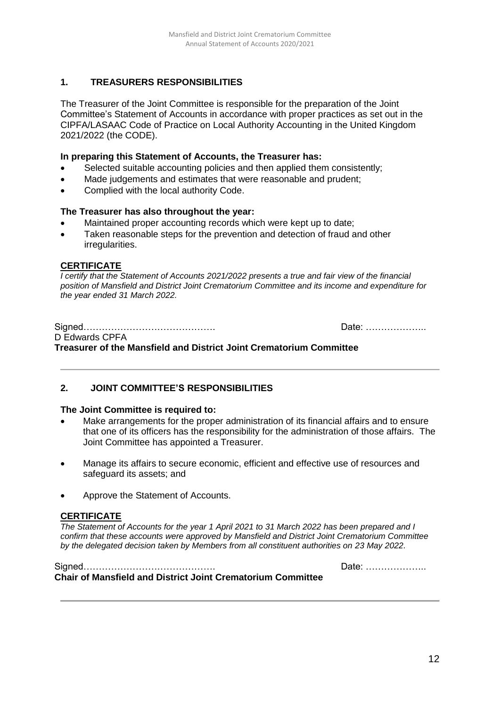#### **1. TREASURERS RESPONSIBILITIES**

The Treasurer of the Joint Committee is responsible for the preparation of the Joint Committee's Statement of Accounts in accordance with proper practices as set out in the CIPFA/LASAAC Code of Practice on Local Authority Accounting in the United Kingdom 2021/2022 (the CODE).

#### **In preparing this Statement of Accounts, the Treasurer has:**

- Selected suitable accounting policies and then applied them consistently;
- Made judgements and estimates that were reasonable and prudent;
- Complied with the local authority Code.

#### **The Treasurer has also throughout the year:**

- Maintained proper accounting records which were kept up to date;
- Taken reasonable steps for the prevention and detection of fraud and other irregularities.

#### **CERTIFICATE**

*I certify that the Statement of Accounts 2021/2022 presents a true and fair view of the financial position of Mansfield and District Joint Crematorium Committee and its income and expenditure for the year ended 31 March 2022.*

|                                                                     | Date: |
|---------------------------------------------------------------------|-------|
| D Edwards CPFA                                                      |       |
| Treasurer of the Mansfield and District Joint Crematorium Committee |       |

#### **2. JOINT COMMITTEE'S RESPONSIBILITIES**

#### **The Joint Committee is required to:**

- Make arrangements for the proper administration of its financial affairs and to ensure that one of its officers has the responsibility for the administration of those affairs. The Joint Committee has appointed a Treasurer.
- Manage its affairs to secure economic, efficient and effective use of resources and safeguard its assets; and
- Approve the Statement of Accounts.

#### **CERTIFICATE**

*The Statement of Accounts for the year 1 April 2021 to 31 March 2022 has been prepared and I confirm that these accounts were approved by Mansfield and District Joint Crematorium Committee by the delegated decision taken by Members from all constituent authorities on 23 May 2022.*

|                                                                    | Date: |
|--------------------------------------------------------------------|-------|
| <b>Chair of Mansfield and District Joint Crematorium Committee</b> |       |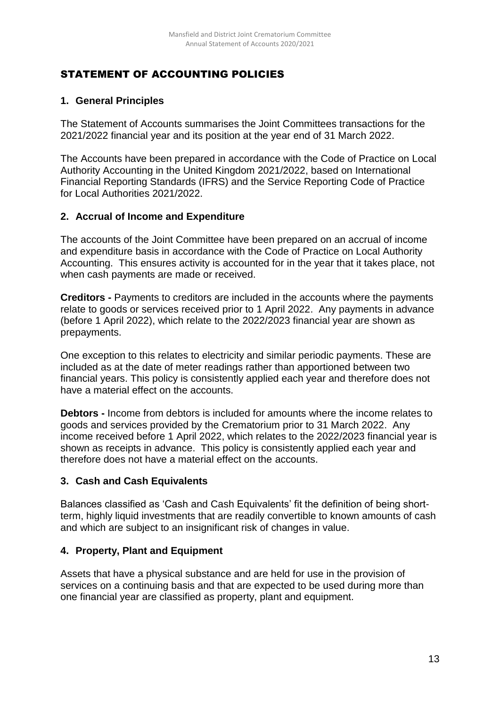# STATEMENT OF ACCOUNTING POLICIES

# **1. General Principles**

The Statement of Accounts summarises the Joint Committees transactions for the 2021/2022 financial year and its position at the year end of 31 March 2022.

The Accounts have been prepared in accordance with the Code of Practice on Local Authority Accounting in the United Kingdom 2021/2022, based on International Financial Reporting Standards (IFRS) and the Service Reporting Code of Practice for Local Authorities 2021/2022.

## **2. Accrual of Income and Expenditure**

The accounts of the Joint Committee have been prepared on an accrual of income and expenditure basis in accordance with the Code of Practice on Local Authority Accounting. This ensures activity is accounted for in the year that it takes place, not when cash payments are made or received.

**Creditors -** Payments to creditors are included in the accounts where the payments relate to goods or services received prior to 1 April 2022. Any payments in advance (before 1 April 2022), which relate to the 2022/2023 financial year are shown as prepayments.

One exception to this relates to electricity and similar periodic payments. These are included as at the date of meter readings rather than apportioned between two financial years. This policy is consistently applied each year and therefore does not have a material effect on the accounts.

**Debtors -** Income from debtors is included for amounts where the income relates to goods and services provided by the Crematorium prior to 31 March 2022. Any income received before 1 April 2022, which relates to the 2022/2023 financial year is shown as receipts in advance. This policy is consistently applied each year and therefore does not have a material effect on the accounts.

## **3. Cash and Cash Equivalents**

Balances classified as 'Cash and Cash Equivalents' fit the definition of being shortterm, highly liquid investments that are readily convertible to known amounts of cash and which are subject to an insignificant risk of changes in value.

## **4. Property, Plant and Equipment**

Assets that have a physical substance and are held for use in the provision of services on a continuing basis and that are expected to be used during more than one financial year are classified as property, plant and equipment.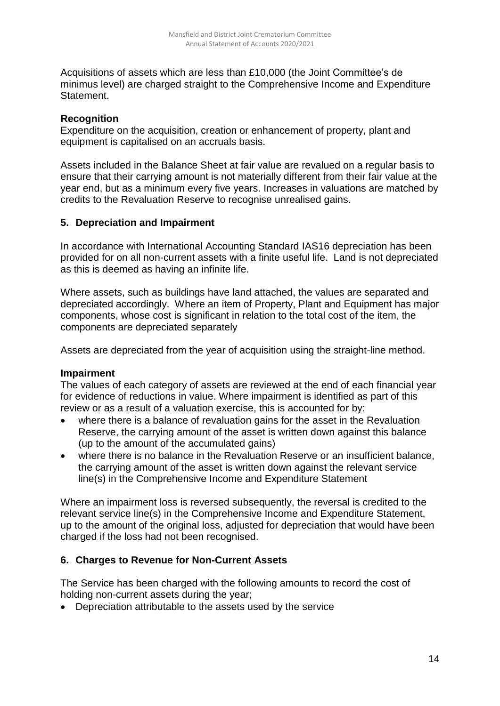Acquisitions of assets which are less than £10,000 (the Joint Committee's de minimus level) are charged straight to the Comprehensive Income and Expenditure Statement.

#### **Recognition**

Expenditure on the acquisition, creation or enhancement of property, plant and equipment is capitalised on an accruals basis.

Assets included in the Balance Sheet at fair value are revalued on a regular basis to ensure that their carrying amount is not materially different from their fair value at the year end, but as a minimum every five years. Increases in valuations are matched by credits to the Revaluation Reserve to recognise unrealised gains.

#### **5. Depreciation and Impairment**

In accordance with International Accounting Standard IAS16 depreciation has been provided for on all non-current assets with a finite useful life. Land is not depreciated as this is deemed as having an infinite life.

Where assets, such as buildings have land attached, the values are separated and depreciated accordingly. Where an item of Property, Plant and Equipment has major components, whose cost is significant in relation to the total cost of the item, the components are depreciated separately

Assets are depreciated from the year of acquisition using the straight-line method.

#### **Impairment**

The values of each category of assets are reviewed at the end of each financial year for evidence of reductions in value. Where impairment is identified as part of this review or as a result of a valuation exercise, this is accounted for by:

- where there is a balance of revaluation gains for the asset in the Revaluation Reserve, the carrying amount of the asset is written down against this balance (up to the amount of the accumulated gains)
- where there is no balance in the Revaluation Reserve or an insufficient balance, the carrying amount of the asset is written down against the relevant service line(s) in the Comprehensive Income and Expenditure Statement

Where an impairment loss is reversed subsequently, the reversal is credited to the relevant service line(s) in the Comprehensive Income and Expenditure Statement, up to the amount of the original loss, adjusted for depreciation that would have been charged if the loss had not been recognised.

## **6. Charges to Revenue for Non-Current Assets**

The Service has been charged with the following amounts to record the cost of holding non-current assets during the year;

Depreciation attributable to the assets used by the service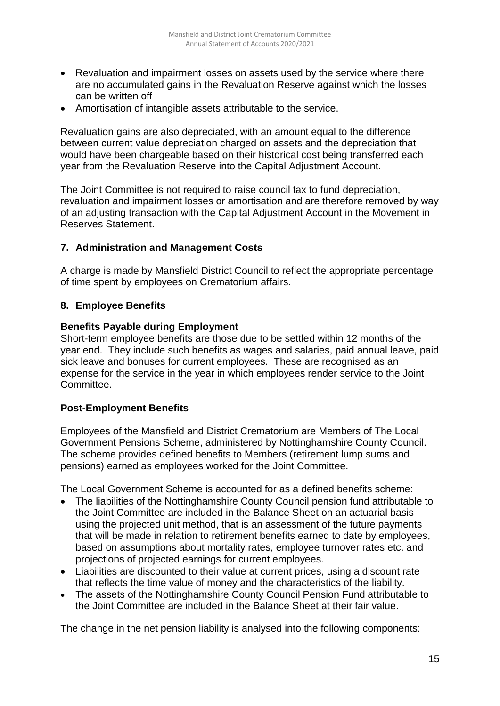- Revaluation and impairment losses on assets used by the service where there are no accumulated gains in the Revaluation Reserve against which the losses can be written off
- Amortisation of intangible assets attributable to the service.

Revaluation gains are also depreciated, with an amount equal to the difference between current value depreciation charged on assets and the depreciation that would have been chargeable based on their historical cost being transferred each year from the Revaluation Reserve into the Capital Adjustment Account.

The Joint Committee is not required to raise council tax to fund depreciation, revaluation and impairment losses or amortisation and are therefore removed by way of an adjusting transaction with the Capital Adjustment Account in the Movement in Reserves Statement.

#### **7. Administration and Management Costs**

A charge is made by Mansfield District Council to reflect the appropriate percentage of time spent by employees on Crematorium affairs.

#### **8. Employee Benefits**

#### **Benefits Payable during Employment**

Short-term employee benefits are those due to be settled within 12 months of the year end. They include such benefits as wages and salaries, paid annual leave, paid sick leave and bonuses for current employees. These are recognised as an expense for the service in the year in which employees render service to the Joint Committee.

#### **Post-Employment Benefits**

Employees of the Mansfield and District Crematorium are Members of The Local Government Pensions Scheme, administered by Nottinghamshire County Council. The scheme provides defined benefits to Members (retirement lump sums and pensions) earned as employees worked for the Joint Committee.

The Local Government Scheme is accounted for as a defined benefits scheme:

- The liabilities of the Nottinghamshire County Council pension fund attributable to the Joint Committee are included in the Balance Sheet on an actuarial basis using the projected unit method, that is an assessment of the future payments that will be made in relation to retirement benefits earned to date by employees, based on assumptions about mortality rates, employee turnover rates etc. and projections of projected earnings for current employees.
- Liabilities are discounted to their value at current prices, using a discount rate that reflects the time value of money and the characteristics of the liability.
- The assets of the Nottinghamshire County Council Pension Fund attributable to the Joint Committee are included in the Balance Sheet at their fair value.

The change in the net pension liability is analysed into the following components: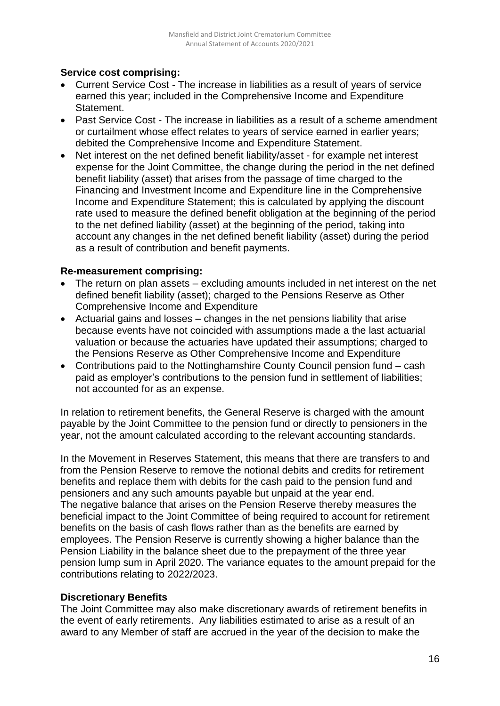## **Service cost comprising:**

- Current Service Cost The increase in liabilities as a result of years of service earned this year; included in the Comprehensive Income and Expenditure Statement.
- Past Service Cost The increase in liabilities as a result of a scheme amendment or curtailment whose effect relates to years of service earned in earlier years; debited the Comprehensive Income and Expenditure Statement.
- Net interest on the net defined benefit liability/asset for example net interest expense for the Joint Committee, the change during the period in the net defined benefit liability (asset) that arises from the passage of time charged to the Financing and Investment Income and Expenditure line in the Comprehensive Income and Expenditure Statement; this is calculated by applying the discount rate used to measure the defined benefit obligation at the beginning of the period to the net defined liability (asset) at the beginning of the period, taking into account any changes in the net defined benefit liability (asset) during the period as a result of contribution and benefit payments.

## **Re-measurement comprising:**

- The return on plan assets excluding amounts included in net interest on the net defined benefit liability (asset); charged to the Pensions Reserve as Other Comprehensive Income and Expenditure
- Actuarial gains and losses changes in the net pensions liability that arise because events have not coincided with assumptions made a the last actuarial valuation or because the actuaries have updated their assumptions; charged to the Pensions Reserve as Other Comprehensive Income and Expenditure
- Contributions paid to the Nottinghamshire County Council pension fund cash paid as employer's contributions to the pension fund in settlement of liabilities; not accounted for as an expense.

In relation to retirement benefits, the General Reserve is charged with the amount payable by the Joint Committee to the pension fund or directly to pensioners in the year, not the amount calculated according to the relevant accounting standards.

In the Movement in Reserves Statement, this means that there are transfers to and from the Pension Reserve to remove the notional debits and credits for retirement benefits and replace them with debits for the cash paid to the pension fund and pensioners and any such amounts payable but unpaid at the year end. The negative balance that arises on the Pension Reserve thereby measures the beneficial impact to the Joint Committee of being required to account for retirement benefits on the basis of cash flows rather than as the benefits are earned by employees. The Pension Reserve is currently showing a higher balance than the Pension Liability in the balance sheet due to the prepayment of the three year pension lump sum in April 2020. The variance equates to the amount prepaid for the contributions relating to 2022/2023.

# **Discretionary Benefits**

The Joint Committee may also make discretionary awards of retirement benefits in the event of early retirements. Any liabilities estimated to arise as a result of an award to any Member of staff are accrued in the year of the decision to make the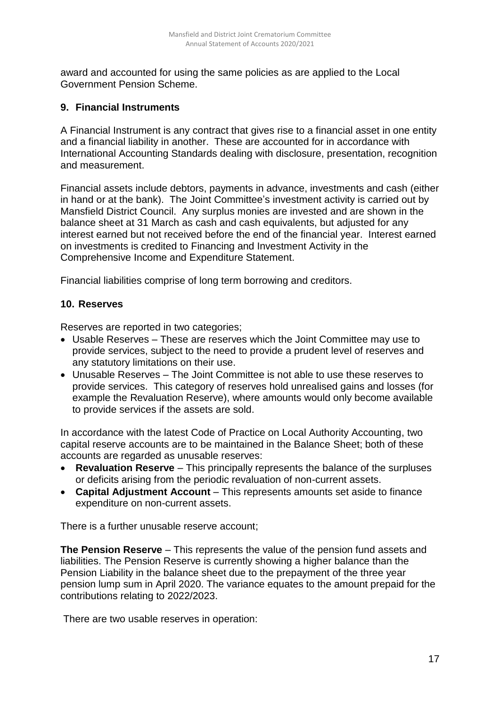award and accounted for using the same policies as are applied to the Local Government Pension Scheme.

#### **9. Financial Instruments**

A Financial Instrument is any contract that gives rise to a financial asset in one entity and a financial liability in another. These are accounted for in accordance with International Accounting Standards dealing with disclosure, presentation, recognition and measurement.

Financial assets include debtors, payments in advance, investments and cash (either in hand or at the bank). The Joint Committee's investment activity is carried out by Mansfield District Council. Any surplus monies are invested and are shown in the balance sheet at 31 March as cash and cash equivalents, but adjusted for any interest earned but not received before the end of the financial year. Interest earned on investments is credited to Financing and Investment Activity in the Comprehensive Income and Expenditure Statement.

Financial liabilities comprise of long term borrowing and creditors.

#### **10. Reserves**

Reserves are reported in two categories;

- Usable Reserves These are reserves which the Joint Committee may use to provide services, subject to the need to provide a prudent level of reserves and any statutory limitations on their use.
- Unusable Reserves The Joint Committee is not able to use these reserves to provide services. This category of reserves hold unrealised gains and losses (for example the Revaluation Reserve), where amounts would only become available to provide services if the assets are sold.

In accordance with the latest Code of Practice on Local Authority Accounting, two capital reserve accounts are to be maintained in the Balance Sheet; both of these accounts are regarded as unusable reserves:

- **Revaluation Reserve** This principally represents the balance of the surpluses or deficits arising from the periodic revaluation of non-current assets.
- **Capital Adjustment Account** This represents amounts set aside to finance expenditure on non-current assets.

There is a further unusable reserve account;

**The Pension Reserve** – This represents the value of the pension fund assets and liabilities. The Pension Reserve is currently showing a higher balance than the Pension Liability in the balance sheet due to the prepayment of the three year pension lump sum in April 2020. The variance equates to the amount prepaid for the contributions relating to 2022/2023.

There are two usable reserves in operation: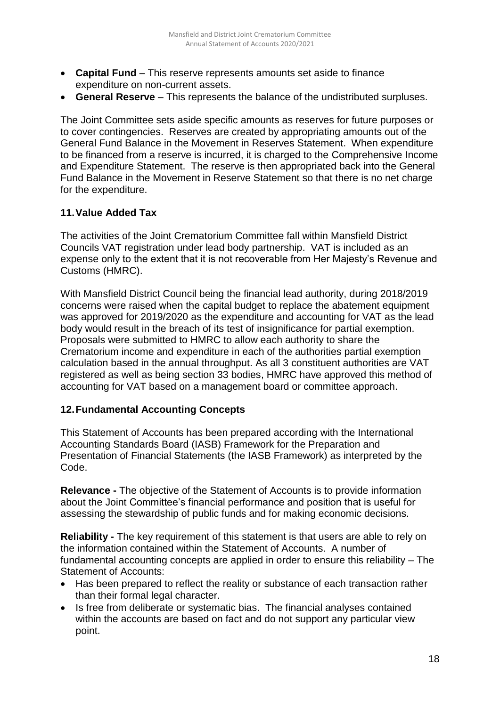- **Capital Fund** This reserve represents amounts set aside to finance expenditure on non-current assets.
- **General Reserve** This represents the balance of the undistributed surpluses.

The Joint Committee sets aside specific amounts as reserves for future purposes or to cover contingencies. Reserves are created by appropriating amounts out of the General Fund Balance in the Movement in Reserves Statement. When expenditure to be financed from a reserve is incurred, it is charged to the Comprehensive Income and Expenditure Statement. The reserve is then appropriated back into the General Fund Balance in the Movement in Reserve Statement so that there is no net charge for the expenditure.

#### **11.Value Added Tax**

The activities of the Joint Crematorium Committee fall within Mansfield District Councils VAT registration under lead body partnership. VAT is included as an expense only to the extent that it is not recoverable from Her Majesty's Revenue and Customs (HMRC).

With Mansfield District Council being the financial lead authority, during 2018/2019 concerns were raised when the capital budget to replace the abatement equipment was approved for 2019/2020 as the expenditure and accounting for VAT as the lead body would result in the breach of its test of insignificance for partial exemption. Proposals were submitted to HMRC to allow each authority to share the Crematorium income and expenditure in each of the authorities partial exemption calculation based in the annual throughput. As all 3 constituent authorities are VAT registered as well as being section 33 bodies, HMRC have approved this method of accounting for VAT based on a management board or committee approach.

## **12.Fundamental Accounting Concepts**

This Statement of Accounts has been prepared according with the International Accounting Standards Board (IASB) Framework for the Preparation and Presentation of Financial Statements (the IASB Framework) as interpreted by the Code.

**Relevance -** The objective of the Statement of Accounts is to provide information about the Joint Committee's financial performance and position that is useful for assessing the stewardship of public funds and for making economic decisions.

**Reliability -** The key requirement of this statement is that users are able to rely on the information contained within the Statement of Accounts. A number of fundamental accounting concepts are applied in order to ensure this reliability – The Statement of Accounts:

- Has been prepared to reflect the reality or substance of each transaction rather than their formal legal character.
- Is free from deliberate or systematic bias. The financial analyses contained within the accounts are based on fact and do not support any particular view point.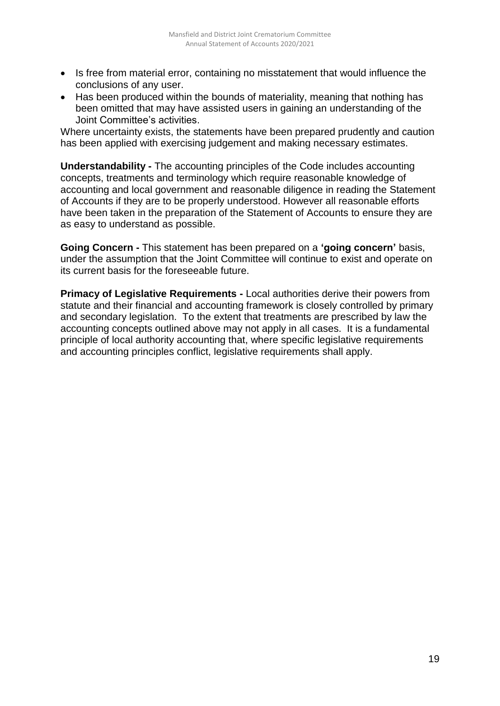- Is free from material error, containing no misstatement that would influence the conclusions of any user.
- Has been produced within the bounds of materiality, meaning that nothing has been omitted that may have assisted users in gaining an understanding of the Joint Committee's activities.

Where uncertainty exists, the statements have been prepared prudently and caution has been applied with exercising judgement and making necessary estimates.

**Understandability -** The accounting principles of the Code includes accounting concepts, treatments and terminology which require reasonable knowledge of accounting and local government and reasonable diligence in reading the Statement of Accounts if they are to be properly understood. However all reasonable efforts have been taken in the preparation of the Statement of Accounts to ensure they are as easy to understand as possible.

**Going Concern -** This statement has been prepared on a **'going concern'** basis, under the assumption that the Joint Committee will continue to exist and operate on its current basis for the foreseeable future.

**Primacy of Legislative Requirements -** Local authorities derive their powers from statute and their financial and accounting framework is closely controlled by primary and secondary legislation. To the extent that treatments are prescribed by law the accounting concepts outlined above may not apply in all cases. It is a fundamental principle of local authority accounting that, where specific legislative requirements and accounting principles conflict, legislative requirements shall apply.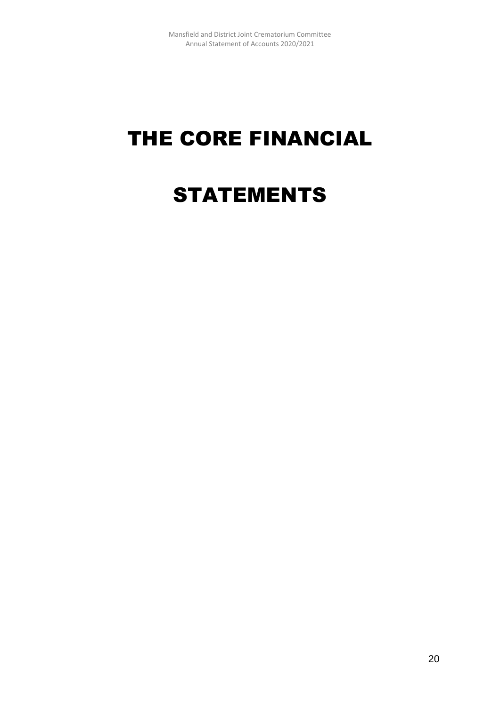# THE CORE FINANCIAL

# STATEMENTS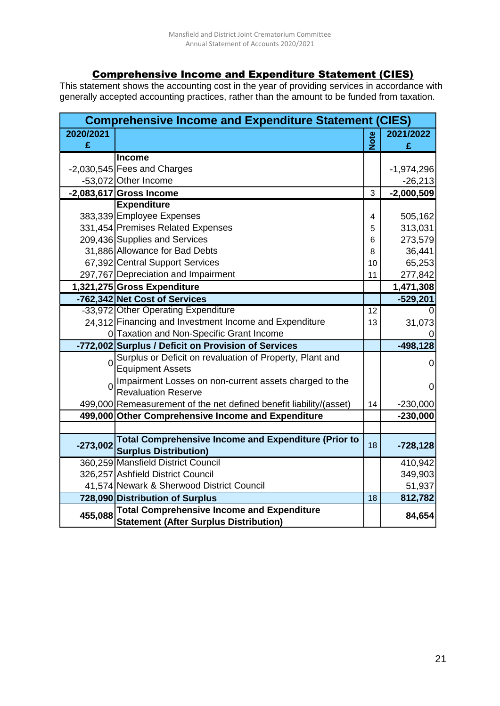# Comprehensive Income and Expenditure Statement (CIES)

This statement shows the accounting cost in the year of providing services in accordance with generally accepted accounting practices, rather than the amount to be funded from taxation.

|                | <b>Comprehensive Income and Expenditure Statement (CIES)</b>       |             |                |
|----------------|--------------------------------------------------------------------|-------------|----------------|
| 2020/2021      |                                                                    | <b>Note</b> | 2021/2022      |
| £              |                                                                    |             | £              |
|                | <b>Income</b>                                                      |             |                |
|                | -2,030,545 Fees and Charges                                        |             | $-1,974,296$   |
|                | -53,072 Other Income                                               |             | $-26,213$      |
|                | $-2,083,617$ Gross Income                                          | 3           | $-2,000,509$   |
|                | <b>Expenditure</b>                                                 |             |                |
|                | 383,339 Employee Expenses                                          | 4           | 505,162        |
|                | 331,454 Premises Related Expenses                                  | 5           | 313,031        |
|                | 209,436 Supplies and Services                                      | 6           | 273,579        |
|                | 31,886 Allowance for Bad Debts                                     | 8           | 36,441         |
|                | 67,392 Central Support Services                                    | 10          | 65,253         |
|                | 297,767 Depreciation and Impairment                                | 11          | 277,842        |
|                | 1,321,275 Gross Expenditure                                        |             | 1,471,308      |
|                | -762,342 Net Cost of Services                                      |             | $-529,201$     |
|                | -33,972 Other Operating Expenditure                                | 12          |                |
|                | 24,312 Financing and Investment Income and Expenditure             | 13          | 31,073         |
|                | 0 Taxation and Non-Specific Grant Income                           |             |                |
|                | -772,002 Surplus / Deficit on Provision of Services                |             | $-498, 128$    |
| $\overline{0}$ | Surplus or Deficit on revaluation of Property, Plant and           |             | 0              |
|                | <b>Equipment Assets</b>                                            |             |                |
|                | Impairment Losses on non-current assets charged to the             |             | $\overline{0}$ |
|                | <b>Revaluation Reserve</b>                                         |             |                |
|                | 499,000 Remeasurement of the net defined benefit liability/(asset) | 14          | $-230,000$     |
|                | 499,000 Other Comprehensive Income and Expenditure                 |             | $-230,000$     |
|                |                                                                    |             |                |
| $-273,002$     | <b>Total Comprehensive Income and Expenditure (Prior to</b>        | 18          | $-728,128$     |
|                | <b>Surplus Distribution)</b>                                       |             |                |
|                | 360,259 Mansfield District Council                                 |             | 410,942        |
|                | 326,257 Ashfield District Council                                  |             | 349,903        |
|                | 41,574 Newark & Sherwood District Council                          |             | 51,937         |
|                | 728,090 Distribution of Surplus                                    | 18          | 812,782        |
| 455,088        | <b>Total Comprehensive Income and Expenditure</b>                  |             | 84,654         |
|                | <b>Statement (After Surplus Distribution)</b>                      |             |                |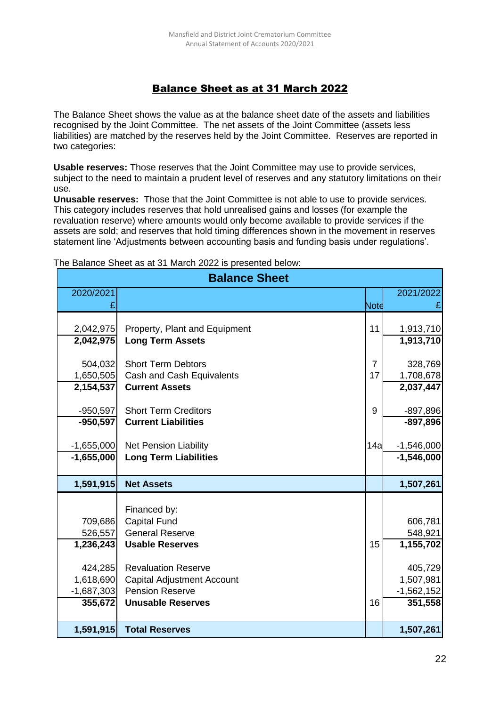# Balance Sheet as at 31 March 2022

The Balance Sheet shows the value as at the balance sheet date of the assets and liabilities recognised by the Joint Committee. The net assets of the Joint Committee (assets less liabilities) are matched by the reserves held by the Joint Committee. Reserves are reported in two categories:

**Usable reserves:** Those reserves that the Joint Committee may use to provide services, subject to the need to maintain a prudent level of reserves and any statutory limitations on their use.

**Unusable reserves:** Those that the Joint Committee is not able to use to provide services. This category includes reserves that hold unrealised gains and losses (for example the revaluation reserve) where amounts would only become available to provide services if the assets are sold; and reserves that hold timing differences shown in the movement in reserves statement line 'Adjustments between accounting basis and funding basis under regulations'.

| <b>Balance Sheet</b> |                                   |                |              |  |  |
|----------------------|-----------------------------------|----------------|--------------|--|--|
| 2020/2021            |                                   |                | 2021/2022    |  |  |
|                      |                                   | Note           |              |  |  |
|                      |                                   |                |              |  |  |
| 2,042,975            | Property, Plant and Equipment     | 11             | 1,913,710    |  |  |
| 2,042,975            | <b>Long Term Assets</b>           |                | 1,913,710    |  |  |
| 504,032              | <b>Short Term Debtors</b>         | $\overline{7}$ | 328,769      |  |  |
| 1,650,505            | Cash and Cash Equivalents         | 17             | 1,708,678    |  |  |
| 2,154,537            | <b>Current Assets</b>             |                | 2,037,447    |  |  |
|                      |                                   |                |              |  |  |
| $-950,597$           | <b>Short Term Creditors</b>       | 9              | $-897,896$   |  |  |
| $-950,597$           | <b>Current Liabilities</b>        |                | $-897,896$   |  |  |
|                      |                                   |                |              |  |  |
| $-1,655,000$         | Net Pension Liability             | 14a            | $-1,546,000$ |  |  |
| $-1,655,000$         | <b>Long Term Liabilities</b>      |                | $-1,546,000$ |  |  |
| 1,591,915            | <b>Net Assets</b>                 |                | 1,507,261    |  |  |
|                      |                                   |                |              |  |  |
|                      | Financed by:                      |                |              |  |  |
| 709,686              | <b>Capital Fund</b>               |                | 606,781      |  |  |
| 526,557              | <b>General Reserve</b>            |                | 548,921      |  |  |
| 1,236,243            | <b>Usable Reserves</b>            | 15             | 1,155,702    |  |  |
| 424,285              | <b>Revaluation Reserve</b>        |                | 405,729      |  |  |
| 1,618,690            | <b>Capital Adjustment Account</b> |                | 1,507,981    |  |  |
| $-1,687,303$         | <b>Pension Reserve</b>            |                | $-1,562,152$ |  |  |
| 355,672              | <b>Unusable Reserves</b>          | 16             | 351,558      |  |  |
|                      |                                   |                |              |  |  |
| 1,591,915            | <b>Total Reserves</b>             |                | 1,507,261    |  |  |

The Balance Sheet as at 31 March 2022 is presented below: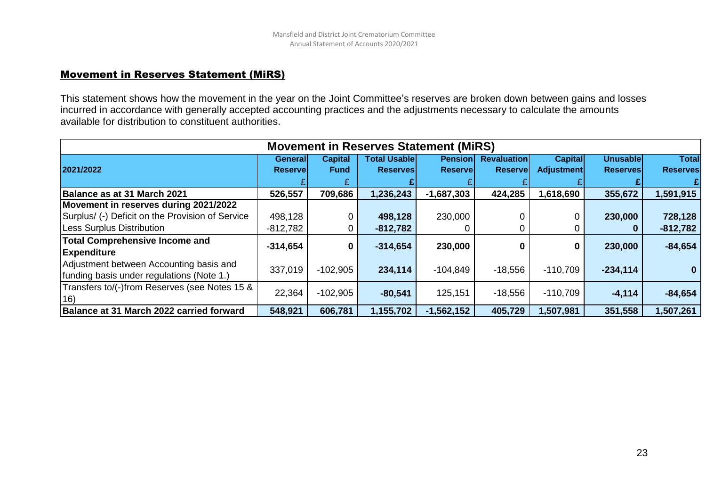#### Movement in Reserves Statement (MiRS)

This statement shows how the movement in the year on the Joint Committee's reserves are broken down between gains and losses incurred in accordance with generally accepted accounting practices and the adjustments necessary to calculate the amounts available for distribution to constituent authorities.

| <b>Movement in Reserves Statement (MIRS)</b>     |                             |                               |                                        |                                   |                                       |                                     |                              |                                 |
|--------------------------------------------------|-----------------------------|-------------------------------|----------------------------------------|-----------------------------------|---------------------------------------|-------------------------------------|------------------------------|---------------------------------|
| 2021/2022                                        | Generall<br><b>Reservel</b> | <b>Capital</b><br><b>Fund</b> | <b>Total Usable</b><br><b>Reserves</b> | <b>Pension</b><br><b>Reservel</b> | <b>Revaluation</b><br><b>Reservel</b> | <b>Capital</b><br><b>Adjustment</b> | Unusablel<br><b>Reserves</b> | <b>Total</b><br><b>Reserves</b> |
|                                                  |                             |                               |                                        |                                   |                                       |                                     |                              |                                 |
| Balance as at 31 March 2021                      | 526,557                     | 709,686                       | 1,236,243                              | $-1,687,303$                      | 424,285                               | 1,618,690                           | 355,672                      | 1,591,915                       |
| Movement in reserves during 2021/2022            |                             |                               |                                        |                                   |                                       |                                     |                              |                                 |
| Surplus/ (-) Deficit on the Provision of Service | 498,128                     |                               | 498,128                                | 230,000                           |                                       |                                     | 230,000                      | 728,128                         |
| Less Surplus Distribution                        | $-812,782$                  |                               | $-812,782$                             |                                   |                                       |                                     |                              | $-812,782$                      |
| <b>Total Comprehensive Income and</b>            | $-314,654$                  | 0                             | $-314,654$                             | 230,000                           |                                       | 0                                   | 230,000                      | $-84,654$                       |
| <b>Expenditure</b>                               |                             |                               |                                        |                                   |                                       |                                     |                              |                                 |
| Adjustment between Accounting basis and          | 337,019                     | $-102,905$                    | 234,114                                | $-104,849$                        | $-18,556$                             | $-110,709$                          | $-234,114$                   |                                 |
| funding basis under regulations (Note 1.)        |                             |                               |                                        |                                   |                                       |                                     |                              |                                 |
| Transfers to/(-)from Reserves (see Notes 15 &    | 22,364                      | $-102,905$                    | $-80,541$                              | 125,151                           | $-18,556$                             | $-110,709$                          | $-4,114$                     | $-84,654$                       |
| (16)                                             |                             |                               |                                        |                                   |                                       |                                     |                              |                                 |
| Balance at 31 March 2022 carried forward         | 548,921                     | 606,781                       | 1,155,702                              | $-1,562,152$                      | 405,729                               | 1,507,981                           | 351,558                      | 1,507,261                       |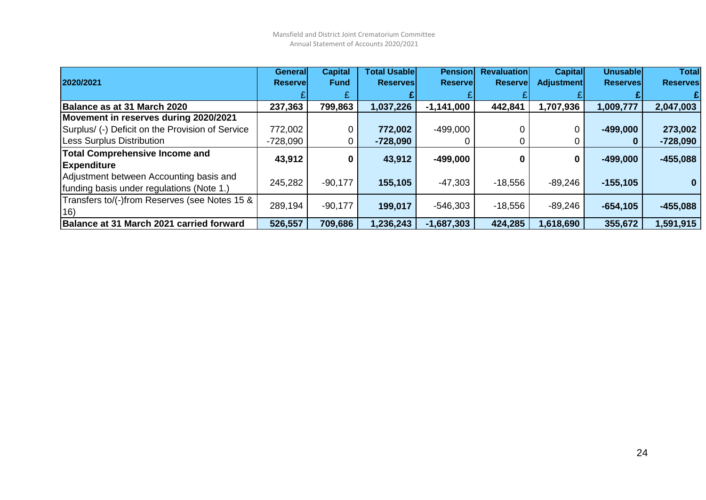|                                                  | <b>General</b>  | <b>Capital</b> | <b>Total Usable</b> | <b>Pension</b>  | <b>Revaluation</b> | <b>Capital</b> | <b>Unusable</b> | <b>Total</b>    |
|--------------------------------------------------|-----------------|----------------|---------------------|-----------------|--------------------|----------------|-----------------|-----------------|
| 2020/2021                                        | <b>Reservel</b> | <b>Fund</b>    | <b>Reserves</b>     | <b>Reservel</b> | <b>Reservel</b>    | Adjustment     | <b>Reserves</b> | <b>Reserves</b> |
|                                                  |                 |                |                     |                 |                    |                |                 |                 |
| Balance as at 31 March 2020                      | 237,363         | 799,863        | 1,037,226           | $-1,141,000$    | 442,841            | 1,707,936      | 1,009,777       | 2,047,003       |
| Movement in reserves during 2020/2021            |                 |                |                     |                 |                    |                |                 |                 |
| Surplus/ (-) Deficit on the Provision of Service | 772,002         |                | 772,002             | $-499,000$      |                    |                | $-499.000$      | 273,002         |
| <b>Less Surplus Distribution</b>                 | -728,090        | 0              | $-728,090$          |                 |                    |                | $\bf{0}$        | $-728,090$      |
| <b>Total Comprehensive Income and</b>            |                 |                |                     |                 | 0                  |                | $-499,000$      | $-455,088$      |
| <b>Expenditure</b>                               | 43,912          | 0              | 43,912              | $-499,000$      |                    | 0              |                 |                 |
| Adjustment between Accounting basis and          | 245,282         | $-90,177$      | 155,105             | $-47,303$       | $-18,556$          | $-89,246$      | $-155, 105$     |                 |
| funding basis under regulations (Note 1.)        |                 |                |                     |                 |                    |                |                 |                 |
| Transfers to/(-)from Reserves (see Notes 15 &    |                 |                |                     |                 |                    |                |                 |                 |
| 16)                                              | 289,194         | $-90,177$      | 199,017             | $-546,303$      | $-18,556$          | $-89,246$      | $-654.105$      | $-455,088$      |
| Balance at 31 March 2021 carried forward         | 526,557         | 709,686        | 1,236,243           | $-1,687,303$    | 424,285            | 1,618,690      | 355,672         | 1,591,915       |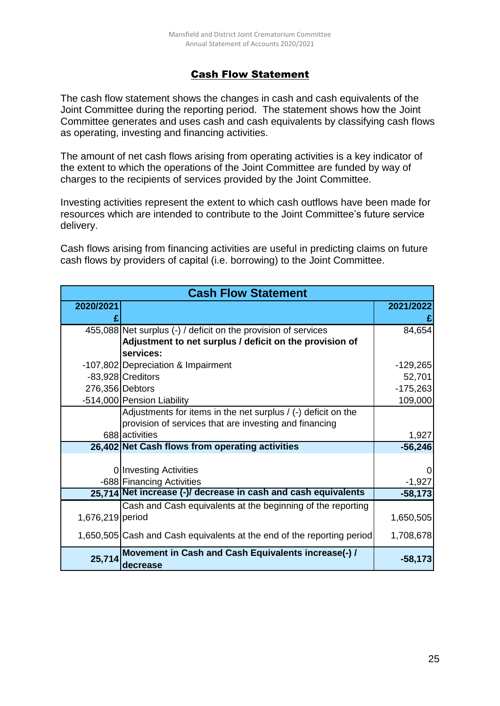# Cash Flow Statement

The cash flow statement shows the changes in cash and cash equivalents of the Joint Committee during the reporting period. The statement shows how the Joint Committee generates and uses cash and cash equivalents by classifying cash flows as operating, investing and financing activities.

The amount of net cash flows arising from operating activities is a key indicator of the extent to which the operations of the Joint Committee are funded by way of charges to the recipients of services provided by the Joint Committee.

Investing activities represent the extent to which cash outflows have been made for resources which are intended to contribute to the Joint Committee's future service delivery.

Cash flows arising from financing activities are useful in predicting claims on future cash flows by providers of capital (i.e. borrowing) to the Joint Committee.

| <b>Cash Flow Statement</b> |                                                                        |            |  |  |  |  |  |
|----------------------------|------------------------------------------------------------------------|------------|--|--|--|--|--|
| 2020/2021                  |                                                                        | 2021/2022  |  |  |  |  |  |
|                            |                                                                        |            |  |  |  |  |  |
|                            | 455,088 Net surplus (-) / deficit on the provision of services         | 84,654     |  |  |  |  |  |
|                            | Adjustment to net surplus / deficit on the provision of                |            |  |  |  |  |  |
|                            | services:                                                              |            |  |  |  |  |  |
|                            | -107,802 Depreciation & Impairment                                     | $-129,265$ |  |  |  |  |  |
|                            | -83,928 Creditors                                                      | 52,701     |  |  |  |  |  |
| 276,356 Debtors            |                                                                        | $-175,263$ |  |  |  |  |  |
|                            | -514,000 Pension Liability                                             | 109,000    |  |  |  |  |  |
|                            | Adjustments for items in the net surplus / (-) deficit on the          |            |  |  |  |  |  |
|                            | provision of services that are investing and financing                 |            |  |  |  |  |  |
|                            | 688 activities                                                         | 1,927      |  |  |  |  |  |
|                            | 26,402 Net Cash flows from operating activities                        | $-56,246$  |  |  |  |  |  |
|                            |                                                                        |            |  |  |  |  |  |
|                            | 0 Investing Activities                                                 |            |  |  |  |  |  |
|                            | -688 Financing Activities                                              | $-1,927$   |  |  |  |  |  |
|                            | 25,714 Net increase (-)/ decrease in cash and cash equivalents         | $-58,173$  |  |  |  |  |  |
|                            | Cash and Cash equivalents at the beginning of the reporting            |            |  |  |  |  |  |
| 1,676,219 period           |                                                                        | 1,650,505  |  |  |  |  |  |
|                            | 1,650,505 Cash and Cash equivalents at the end of the reporting period | 1,708,678  |  |  |  |  |  |
| 25,714                     | Movement in Cash and Cash Equivalents increase(-) /<br>decrease        | $-58,173$  |  |  |  |  |  |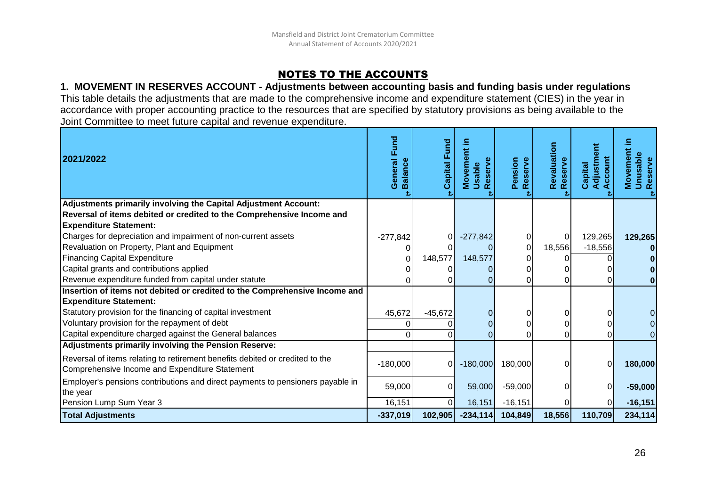# NOTES TO THE ACCOUNTS

#### **1. MOVEMENT IN RESERVES ACCOUNT - Adjustments between accounting basis and funding basis under regulations** This table details the adjustments that are made to the comprehensive income and expenditure statement (CIES) in the year in accordance with proper accounting practice to the resources that are specified by statutory provisions as being available to the Joint Committee to meet future capital and revenue expenditure.

| 2021/2022                                                                                                                      | General Fund<br><b>Balance</b> | Capital Fund   | ent<br>Reserve<br>ξ<br>Usable<br>Move | Pension<br>Reserve | Revaluation<br>Reserve | Adjustment<br>Account<br>Capital | Movement i<br>Unusable<br>Reserve |
|--------------------------------------------------------------------------------------------------------------------------------|--------------------------------|----------------|---------------------------------------|--------------------|------------------------|----------------------------------|-----------------------------------|
| Adjustments primarily involving the Capital Adjustment Account:                                                                |                                |                |                                       |                    |                        |                                  |                                   |
| Reversal of items debited or credited to the Comprehensive Income and                                                          |                                |                |                                       |                    |                        |                                  |                                   |
| <b>Expenditure Statement:</b>                                                                                                  |                                |                |                                       |                    |                        |                                  |                                   |
| Charges for depreciation and impairment of non-current assets                                                                  | $-277,842$                     | 0              | $-277,842$                            | 01                 | 0                      | 129,265                          | 129,265                           |
| Revaluation on Property, Plant and Equipment                                                                                   |                                |                |                                       | $\overline{0}$     | 18,556                 | $-18,556$                        |                                   |
| <b>Financing Capital Expenditure</b>                                                                                           |                                | 148,577        | 148,577                               | 0                  |                        |                                  |                                   |
| Capital grants and contributions applied                                                                                       |                                |                |                                       | 0                  |                        |                                  |                                   |
| Revenue expenditure funded from capital under statute                                                                          |                                |                |                                       | 0                  |                        | O.                               |                                   |
| Insertion of items not debited or credited to the Comprehensive Income and                                                     |                                |                |                                       |                    |                        |                                  |                                   |
| <b>Expenditure Statement:</b>                                                                                                  |                                |                |                                       |                    |                        |                                  |                                   |
| Statutory provision for the financing of capital investment                                                                    | 45,672                         | $-45,672$      |                                       | 0                  |                        | $\Omega$                         |                                   |
| Voluntary provision for the repayment of debt                                                                                  |                                |                |                                       | 0                  |                        | $\Omega$                         | $\overline{O}$                    |
| Capital expenditure charged against the General balances                                                                       |                                |                |                                       | 0                  |                        | U                                | $\Omega$                          |
| Adjustments primarily involving the Pension Reserve:                                                                           |                                |                |                                       |                    |                        |                                  |                                   |
| Reversal of items relating to retirement benefits debited or credited to the<br>Comprehensive Income and Expenditure Statement | $-180,000$                     | 0 <sup>l</sup> | $-180,000$                            | 180,000            |                        | $\Omega$                         | 180,000                           |
| Employer's pensions contributions and direct payments to pensioners payable in<br>the year                                     | 59,000                         | $\Omega$       | 59,000                                | $-59,000$          |                        | $\overline{0}$                   | $-59,000$                         |
| Pension Lump Sum Year 3                                                                                                        | 16,151                         | $\Omega$       | 16,151                                | $-16,151$          |                        | $\Omega$                         | $-16,151$                         |
| <b>Total Adjustments</b>                                                                                                       | $-337,019$                     | 102,905        | $-234,114$                            | 104,849            | 18,556                 | 110,709                          | 234,114                           |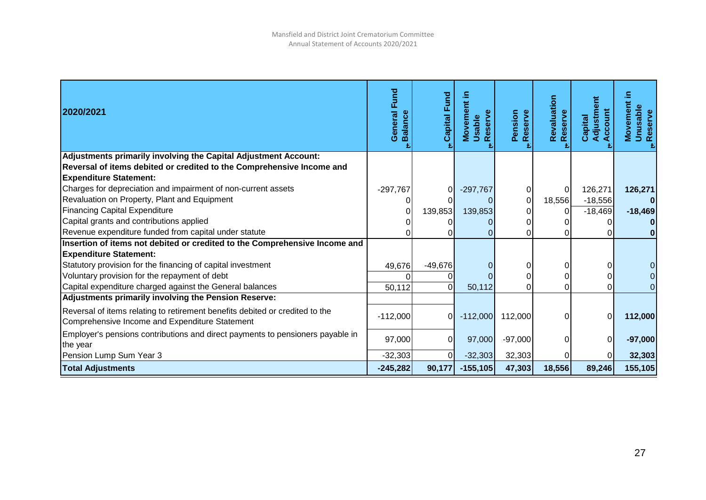| 2020/2021                                                                                                                      | <b>Fund</b><br>General<br><b>Balance</b> | Capital Fund | Movement in<br>Reserve<br>Usable | Pension<br>Reserve | Revaluation<br>Reserve | Adjustment<br>Account<br>Capital | ≘.<br><b>Movement</b><br><b>Unusable</b><br>Reserve |
|--------------------------------------------------------------------------------------------------------------------------------|------------------------------------------|--------------|----------------------------------|--------------------|------------------------|----------------------------------|-----------------------------------------------------|
| Adjustments primarily involving the Capital Adjustment Account:                                                                |                                          |              |                                  |                    |                        |                                  |                                                     |
| Reversal of items debited or credited to the Comprehensive Income and                                                          |                                          |              |                                  |                    |                        |                                  |                                                     |
| <b>Expenditure Statement:</b>                                                                                                  |                                          |              |                                  |                    |                        |                                  |                                                     |
| Charges for depreciation and impairment of non-current assets                                                                  | $-297,767$                               |              | $-297,767$                       |                    | 0                      | 126,271                          | 126,271                                             |
| Revaluation on Property, Plant and Equipment                                                                                   |                                          |              |                                  | $\overline{0}$     | 18,556                 | $-18,556$                        |                                                     |
| <b>Financing Capital Expenditure</b>                                                                                           |                                          | 139,853      | 139,853                          | 01                 | $\Omega$               | $-18,469$                        | $-18,469$                                           |
| Capital grants and contributions applied                                                                                       |                                          |              |                                  | 0                  |                        |                                  |                                                     |
| Revenue expenditure funded from capital under statute                                                                          |                                          |              |                                  | 0                  |                        |                                  |                                                     |
| Insertion of items not debited or credited to the Comprehensive Income and                                                     |                                          |              |                                  |                    |                        |                                  |                                                     |
| <b>Expenditure Statement:</b>                                                                                                  |                                          |              |                                  |                    |                        |                                  |                                                     |
| Statutory provision for the financing of capital investment                                                                    | 49,676                                   | $-49,676$    |                                  |                    |                        |                                  |                                                     |
| Voluntary provision for the repayment of debt                                                                                  |                                          |              |                                  | 0                  |                        |                                  |                                                     |
| Capital expenditure charged against the General balances                                                                       | 50,112                                   |              | 50,112                           | 0                  |                        |                                  |                                                     |
| Adjustments primarily involving the Pension Reserve:                                                                           |                                          |              |                                  |                    |                        |                                  |                                                     |
| Reversal of items relating to retirement benefits debited or credited to the<br>Comprehensive Income and Expenditure Statement | $-112,000$                               | 0I           | $-112,000$                       | 112,000            | ΩI                     | 0                                | 112,000                                             |
| Employer's pensions contributions and direct payments to pensioners payable in<br>the year                                     | 97,000                                   | 0            | 97,000                           | $-97,000$          | 0                      | $\overline{0}$                   | $-97,000$                                           |
| Pension Lump Sum Year 3                                                                                                        | $-32,303$                                |              | $-32,303$                        | 32,303             |                        |                                  | 32,303                                              |
| <b>Total Adjustments</b>                                                                                                       | $-245,282$                               | 90,177       | $-155,105$                       | 47,303             | 18,556                 | 89,246                           | 155,105                                             |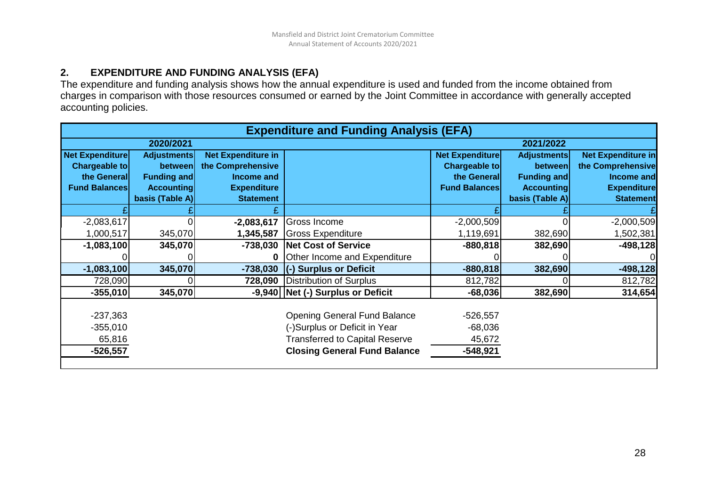## **2. EXPENDITURE AND FUNDING ANALYSIS (EFA)**

The expenditure and funding analysis shows how the annual expenditure is used and funded from the income obtained from charges in comparison with those resources consumed or earned by the Joint Committee in accordance with generally accepted accounting policies.

| <b>Expenditure and Funding Analysis (EFA)</b> |                    |                           |                                       |                        |                    |                           |  |
|-----------------------------------------------|--------------------|---------------------------|---------------------------------------|------------------------|--------------------|---------------------------|--|
|                                               | 2020/2021          |                           |                                       |                        | 2021/2022          |                           |  |
| <b>Net Expenditure</b>                        | <b>Adjustments</b> | <b>Net Expenditure in</b> |                                       | <b>Net Expenditure</b> | <b>Adjustments</b> | <b>Net Expenditure in</b> |  |
| Chargeable to                                 | between            | the Comprehensive         |                                       | <b>Chargeable to</b>   | between            | the Comprehensive         |  |
| the General                                   | <b>Funding and</b> | Income and                |                                       | the General            | <b>Funding and</b> | Income and                |  |
| <b>Fund Balances</b>                          | <b>Accounting</b>  | <b>Expenditure</b>        |                                       | <b>Fund Balances</b>   | <b>Accounting</b>  | <b>Expenditure</b>        |  |
|                                               | basis (Table A)    | <b>Statement</b>          |                                       |                        | basis (Table A)    | <b>Statement</b>          |  |
|                                               |                    |                           |                                       |                        |                    |                           |  |
| $-2,083,617$                                  |                    | $-2,083,617$              | Gross Income                          | $-2,000,509$           |                    | $-2,000,509$              |  |
| 1,000,517                                     | 345,070            | 1,345,587                 | Gross Expenditure                     | 1,119,691              | 382,690            | 1,502,381                 |  |
| $-1,083,100$                                  | 345,070            | -738,030                  | Net Cost of Service                   | $-880,818$             | 382,690            | $-498,128$                |  |
|                                               |                    |                           | <b>Other Income and Expenditure</b>   |                        |                    |                           |  |
| $-1,083,100$                                  | 345,070            | $-738,030$                | (-) Surplus or Deficit                | $-880,818$             | 382,690            | $-498,128$                |  |
| 728,090                                       |                    |                           | 728,090 Distribution of Surplus       | 812,782                |                    | 812,782                   |  |
| $-355,010$                                    | 345,070            |                           | -9,940 Net (-) Surplus or Deficit     | $-68,036$              | 382,690            | 314,654                   |  |
|                                               |                    |                           |                                       |                        |                    |                           |  |
| $-237,363$                                    |                    |                           | <b>Opening General Fund Balance</b>   | $-526,557$             |                    |                           |  |
| $-355,010$                                    |                    |                           | (-)Surplus or Deficit in Year         | $-68,036$              |                    |                           |  |
| 65,816                                        |                    |                           | <b>Transferred to Capital Reserve</b> | 45,672                 |                    |                           |  |
| $-526,557$                                    |                    |                           | <b>Closing General Fund Balance</b>   | $-548,921$             |                    |                           |  |
|                                               |                    |                           |                                       |                        |                    |                           |  |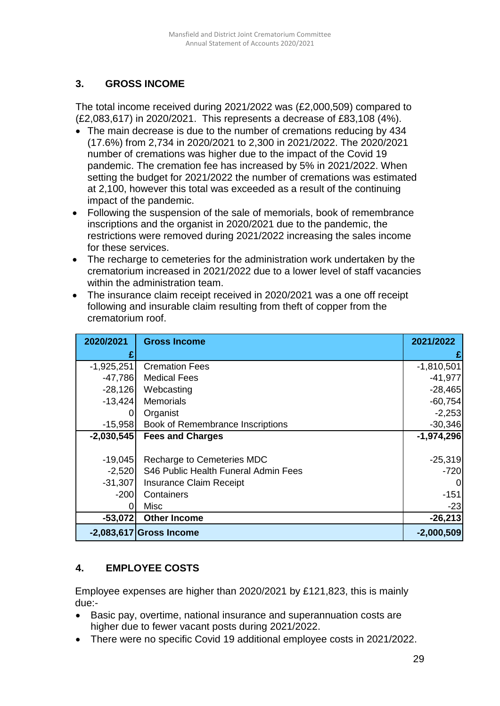# **3. GROSS INCOME**

The total income received during 2021/2022 was (£2,000,509) compared to (£2,083,617) in 2020/2021. This represents a decrease of £83,108 (4%).

- The main decrease is due to the number of cremations reducing by 434 (17.6%) from 2,734 in 2020/2021 to 2,300 in 2021/2022. The 2020/2021 number of cremations was higher due to the impact of the Covid 19 pandemic. The cremation fee has increased by 5% in 2021/2022. When setting the budget for 2021/2022 the number of cremations was estimated at 2,100, however this total was exceeded as a result of the continuing impact of the pandemic.
- Following the suspension of the sale of memorials, book of remembrance inscriptions and the organist in 2020/2021 due to the pandemic, the restrictions were removed during 2021/2022 increasing the sales income for these services.
- The recharge to cemeteries for the administration work undertaken by the crematorium increased in 2021/2022 due to a lower level of staff vacancies within the administration team.
- The insurance claim receipt received in 2020/2021 was a one off receipt following and insurable claim resulting from theft of copper from the crematorium roof.

| 2020/2021    | <b>Gross Income</b>                  | 2021/2022    |
|--------------|--------------------------------------|--------------|
|              |                                      |              |
| $-1,925,251$ | <b>Cremation Fees</b>                | $-1,810,501$ |
| $-47,786$    | <b>Medical Fees</b>                  | $-41,977$    |
| $-28,126$    | Webcasting                           | $-28,465$    |
| $-13,424$    | <b>Memorials</b>                     | $-60,754$    |
|              | Organist                             | $-2,253$     |
| $-15,958$    | Book of Remembrance Inscriptions     | $-30,346$    |
| $-2,030,545$ | <b>Fees and Charges</b>              | $-1,974,296$ |
|              |                                      |              |
| $-19,045$    | Recharge to Cemeteries MDC           | $-25,319$    |
| $-2,520$     | S46 Public Health Funeral Admin Fees | $-720$       |
| $-31,307$    | <b>Insurance Claim Receipt</b>       | 0            |
| $-200$       | Containers                           | $-151$       |
|              | <b>Misc</b>                          | $-23$        |
| $-53,072$    | <b>Other Income</b>                  | $-26,213$    |
|              | $-2,083,617$ Gross Income            | $-2,000,509$ |

# **4. EMPLOYEE COSTS**

Employee expenses are higher than 2020/2021 by £121,823, this is mainly due:-

- Basic pay, overtime, national insurance and superannuation costs are higher due to fewer vacant posts during 2021/2022.
- There were no specific Covid 19 additional employee costs in 2021/2022.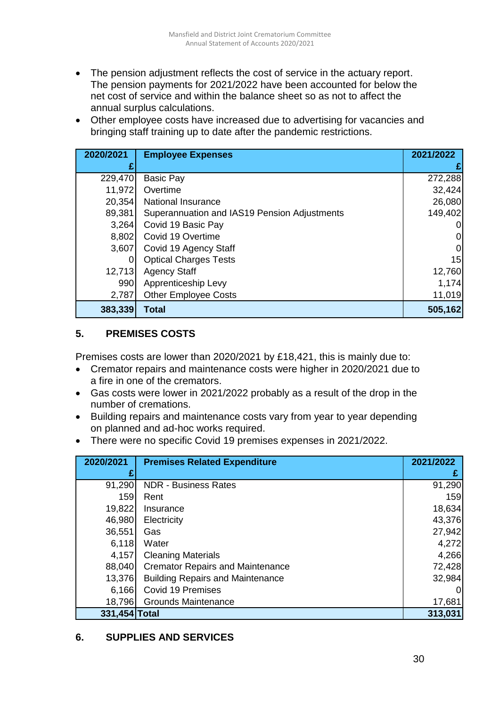- The pension adjustment reflects the cost of service in the actuary report. The pension payments for 2021/2022 have been accounted for below the net cost of service and within the balance sheet so as not to affect the annual surplus calculations.
- Other employee costs have increased due to advertising for vacancies and bringing staff training up to date after the pandemic restrictions.

| 2020/2021 | <b>Employee Expenses</b>                     | 2021/2022 |
|-----------|----------------------------------------------|-----------|
|           |                                              | £         |
| 229,470   | <b>Basic Pay</b>                             | 272,288   |
| 11,972    | Overtime                                     | 32,424    |
| 20,354    | <b>National Insurance</b>                    | 26,080    |
| 89,381    | Superannuation and IAS19 Pension Adjustments | 149,402   |
| 3,264     | Covid 19 Basic Pay                           | 0         |
| 8,802     | Covid 19 Overtime                            | 0         |
| 3,607     | Covid 19 Agency Staff                        | 0         |
|           | <b>Optical Charges Tests</b>                 | 15        |
| 12,713    | <b>Agency Staff</b>                          | 12,760    |
| 990       | Apprenticeship Levy                          | 1,174     |
| 2,787     | <b>Other Employee Costs</b>                  | 11,019    |
| 383,339   | <b>Total</b>                                 | 505,162   |

# **5. PREMISES COSTS**

Premises costs are lower than 2020/2021 by £18,421, this is mainly due to:

- Cremator repairs and maintenance costs were higher in 2020/2021 due to a fire in one of the cremators.
- Gas costs were lower in 2021/2022 probably as a result of the drop in the number of cremations.
- Building repairs and maintenance costs vary from year to year depending on planned and ad-hoc works required.
- There were no specific Covid 19 premises expenses in 2021/2022.

| 2020/2021     | <b>Premises Related Expenditure</b>     | 2021/2022 |
|---------------|-----------------------------------------|-----------|
|               |                                         |           |
| 91,290        | <b>NDR - Business Rates</b>             | 91,290    |
| 159           | Rent                                    | 159       |
| 19,822        | Insurance                               | 18,634    |
| 46,980        | Electricity                             | 43,376    |
| 36,551        | Gas                                     | 27,942    |
| 6,118         | Water                                   | 4,272     |
| 4,157         | <b>Cleaning Materials</b>               | 4,266     |
| 88,040        | <b>Cremator Repairs and Maintenance</b> | 72,428    |
| 13,376        | <b>Building Repairs and Maintenance</b> | 32,984    |
| 6,166         | <b>Covid 19 Premises</b>                | 0         |
| 18,796        | <b>Grounds Maintenance</b>              | 17,681    |
| 331,454 Total |                                         | 313,031   |

# **6. SUPPLIES AND SERVICES**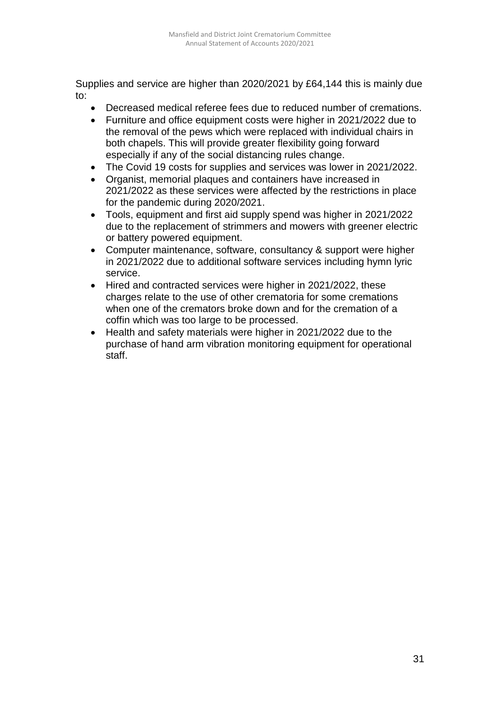Supplies and service are higher than 2020/2021 by £64,144 this is mainly due to:

- Decreased medical referee fees due to reduced number of cremations.
- Furniture and office equipment costs were higher in 2021/2022 due to the removal of the pews which were replaced with individual chairs in both chapels. This will provide greater flexibility going forward especially if any of the social distancing rules change.
- The Covid 19 costs for supplies and services was lower in 2021/2022.
- Organist, memorial plaques and containers have increased in 2021/2022 as these services were affected by the restrictions in place for the pandemic during 2020/2021.
- Tools, equipment and first aid supply spend was higher in 2021/2022 due to the replacement of strimmers and mowers with greener electric or battery powered equipment.
- Computer maintenance, software, consultancy & support were higher in 2021/2022 due to additional software services including hymn lyric service.
- Hired and contracted services were higher in 2021/2022, these charges relate to the use of other crematoria for some cremations when one of the cremators broke down and for the cremation of a coffin which was too large to be processed.
- Health and safety materials were higher in 2021/2022 due to the purchase of hand arm vibration monitoring equipment for operational staff.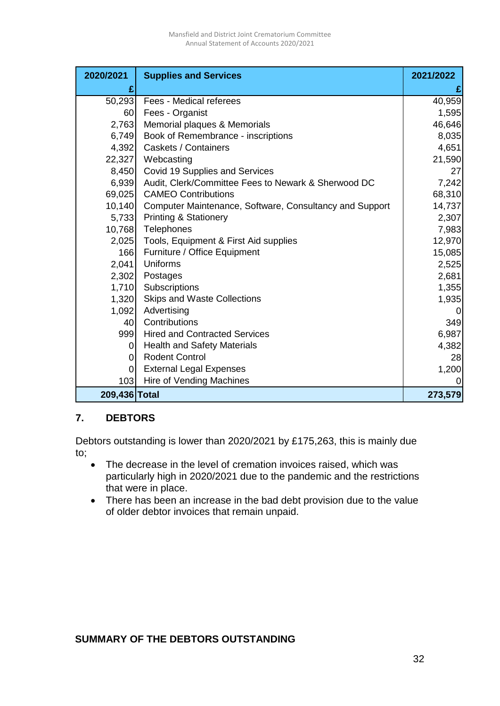| 2020/2021      | <b>Supplies and Services</b>                            | 2021/2022 |
|----------------|---------------------------------------------------------|-----------|
|                |                                                         |           |
| 50,293         | Fees - Medical referees                                 | 40,959    |
| 60             | Fees - Organist                                         | 1,595     |
| 2,763          | Memorial plaques & Memorials                            | 46,646    |
| 6,749          | Book of Remembrance - inscriptions                      | 8,035     |
| 4,392          | <b>Caskets / Containers</b>                             | 4,651     |
| 22,327         | Webcasting                                              | 21,590    |
| 8,450          | Covid 19 Supplies and Services                          | 27        |
| 6,939          | Audit, Clerk/Committee Fees to Newark & Sherwood DC     | 7,242     |
| 69,025         | <b>CAMEO Contributions</b>                              | 68,310    |
| 10,140         | Computer Maintenance, Software, Consultancy and Support | 14,737    |
| 5,733          | <b>Printing &amp; Stationery</b>                        | 2,307     |
| 10,768         | Telephones                                              | 7,983     |
| 2,025          | Tools, Equipment & First Aid supplies                   | 12,970    |
| 166            | Furniture / Office Equipment                            | 15,085    |
| 2,041          | Uniforms                                                | 2,525     |
| 2,302          | Postages                                                | 2,681     |
| 1,710          | Subscriptions                                           | 1,355     |
| 1,320          | <b>Skips and Waste Collections</b>                      | 1,935     |
| 1,092          | Advertising                                             |           |
| 40             | Contributions                                           | 349       |
| 999            | <b>Hired and Contracted Services</b>                    | 6,987     |
| $\Omega$       | <b>Health and Safety Materials</b>                      | 4,382     |
| $\Omega$       | <b>Rodent Control</b>                                   | 28        |
| $\overline{0}$ | <b>External Legal Expenses</b>                          | 1,200     |
| 103            | Hire of Vending Machines                                | 0         |
| 209,436 Total  |                                                         | 273,579   |

## **7. DEBTORS**

Debtors outstanding is lower than 2020/2021 by £175,263, this is mainly due to;

- The decrease in the level of cremation invoices raised, which was particularly high in 2020/2021 due to the pandemic and the restrictions that were in place.
- There has been an increase in the bad debt provision due to the value of older debtor invoices that remain unpaid.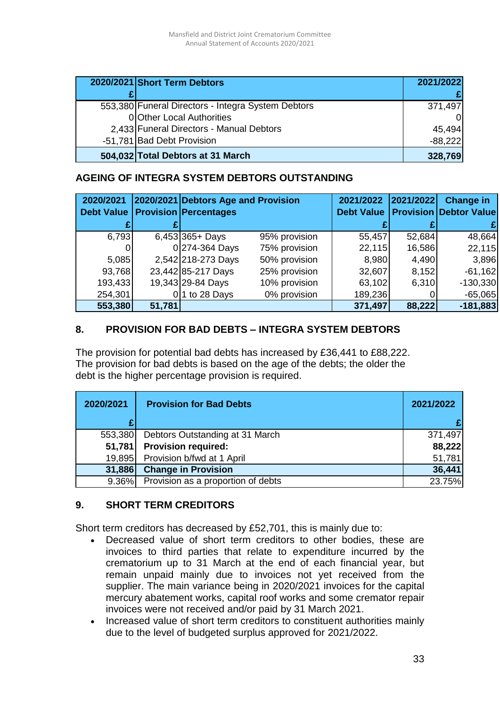| 2020/2021 Short Term Debtors                       | 2021/2022 |
|----------------------------------------------------|-----------|
|                                                    |           |
| 553,380 Funeral Directors - Integra System Debtors | 371.497   |
| 0 Other Local Authorities                          |           |
| 2,433 Funeral Directors - Manual Debtors           | 45,494    |
| -51,781 Bad Debt Provision                         | $-88,222$ |
| 504,032 Total Debtors at 31 March                  | 328,769   |

## **AGEING OF INTEGRA SYSTEM DEBTORS OUTSTANDING**

| 2020/2021 |        | 2020/2021 Debtors Age and Provision<br><b>Debt Value   Provision   Percentages</b> |               | 2021/2022<br><b>Debt Value</b> | 2021/2022 | <b>Change in</b><br><b>Provision Debtor Value</b> |
|-----------|--------|------------------------------------------------------------------------------------|---------------|--------------------------------|-----------|---------------------------------------------------|
|           |        |                                                                                    |               |                                |           |                                                   |
| 6,793     |        | $6,453 365+$ Days                                                                  | 95% provision | 55,457                         | 52,684    | 48,664                                            |
|           |        | 0 274-364 Days                                                                     | 75% provision | 22,115                         | 16,586    | 22,115                                            |
| 5,085     |        | 2,542 218-273 Days                                                                 | 50% provision | 8,980                          | 4,490     | 3,896                                             |
| 93,768    |        | 23,442 85-217 Days                                                                 | 25% provision | 32,607                         | 8,152     | $-61,162$                                         |
| 193,433   |        | 19,343 29-84 Days                                                                  | 10% provision | 63,102                         | 6,310     | $-130,330$                                        |
| 254,301   |        | 1 to 28 Days                                                                       | 0% provision  | 189,236                        |           | $-65,065$                                         |
| 553,380   | 51,781 |                                                                                    |               | 371,497                        | 88,222    | $-181,883$                                        |

## **8. PROVISION FOR BAD DEBTS – INTEGRA SYSTEM DEBTORS**

The provision for potential bad debts has increased by £36,441 to £88,222. The provision for bad debts is based on the age of the debts; the older the debt is the higher percentage provision is required.

| 2020/2021 | <b>Provision for Bad Debts</b>     | 2021/2022 |
|-----------|------------------------------------|-----------|
|           |                                    | £         |
| 553,380   | Debtors Outstanding at 31 March    | 371,497   |
| 51,781    | <b>Provision required:</b>         | 88,222    |
| 19,895    | Provision b/fwd at 1 April         | 51,781    |
| 31,886    | <b>Change in Provision</b>         | 36,441    |
| 9.36%     | Provision as a proportion of debts | 23.75%    |

## **9. SHORT TERM CREDITORS**

Short term creditors has decreased by £52,701, this is mainly due to:

- Decreased value of short term creditors to other bodies, these are invoices to third parties that relate to expenditure incurred by the crematorium up to 31 March at the end of each financial year, but remain unpaid mainly due to invoices not yet received from the supplier. The main variance being in 2020/2021 invoices for the capital mercury abatement works, capital roof works and some cremator repair invoices were not received and/or paid by 31 March 2021.
- Increased value of short term creditors to constituent authorities mainly due to the level of budgeted surplus approved for 2021/2022.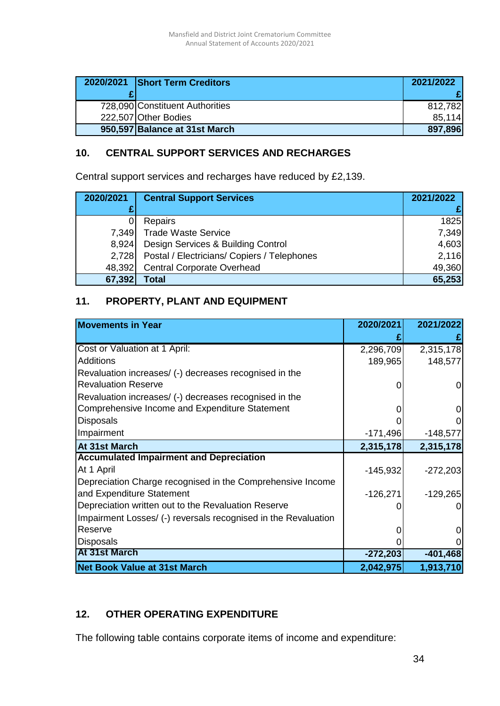| 2020/2021 Short Term Creditors  | 2021/2022 |
|---------------------------------|-----------|
|                                 |           |
| 728,090 Constituent Authorities | 812.782   |
| 222,507 Other Bodies            | 85.114    |
| 950,597 Balance at 31st March   | 897,896   |

# **10. CENTRAL SUPPORT SERVICES AND RECHARGES**

Central support services and recharges have reduced by £2,139.

| 2020/2021 | <b>Central Support Services</b>             | 2021/2022 |
|-----------|---------------------------------------------|-----------|
|           |                                             |           |
|           | Repairs                                     | 1825      |
| 7,349     | <b>Trade Waste Service</b>                  | 7,349     |
| 8,924     | Design Services & Building Control          | 4,603     |
| 2,728     | Postal / Electricians/ Copiers / Telephones | 2,116     |
| 48,392    | <b>Central Corporate Overhead</b>           | 49,360    |
| 67,392    | Total                                       | 65,253    |

# **11. PROPERTY, PLANT AND EQUIPMENT**

| <b>Movements in Year</b>                                       | 2020/2021  | 2021/2022  |
|----------------------------------------------------------------|------------|------------|
|                                                                |            |            |
| Cost or Valuation at 1 April:                                  | 2,296,709  | 2,315,178  |
| <b>Additions</b>                                               | 189,965    | 148,577    |
| Revaluation increases/ (-) decreases recognised in the         |            |            |
| <b>Revaluation Reserve</b>                                     | O          | 0          |
| Revaluation increases/ (-) decreases recognised in the         |            |            |
| Comprehensive Income and Expenditure Statement                 | O          | 0          |
| <b>Disposals</b>                                               |            |            |
| Impairment                                                     | $-171,496$ | $-148,577$ |
| At 31st March                                                  | 2,315,178  | 2,315,178  |
| <b>Accumulated Impairment and Depreciation</b>                 |            |            |
| At 1 April                                                     | $-145,932$ | $-272,203$ |
| Depreciation Charge recognised in the Comprehensive Income     |            |            |
| and Expenditure Statement                                      | $-126,271$ | $-129,265$ |
| Depreciation written out to the Revaluation Reserve            |            |            |
| Impairment Losses/ (-) reversals recognised in the Revaluation |            |            |
| Reserve                                                        | O          |            |
| <b>Disposals</b>                                               |            |            |
| At 31st March                                                  | $-272,203$ | $-401,468$ |
| <b>Net Book Value at 31st March</b>                            | 2,042,975  | 1,913,710  |

## **12. OTHER OPERATING EXPENDITURE**

The following table contains corporate items of income and expenditure: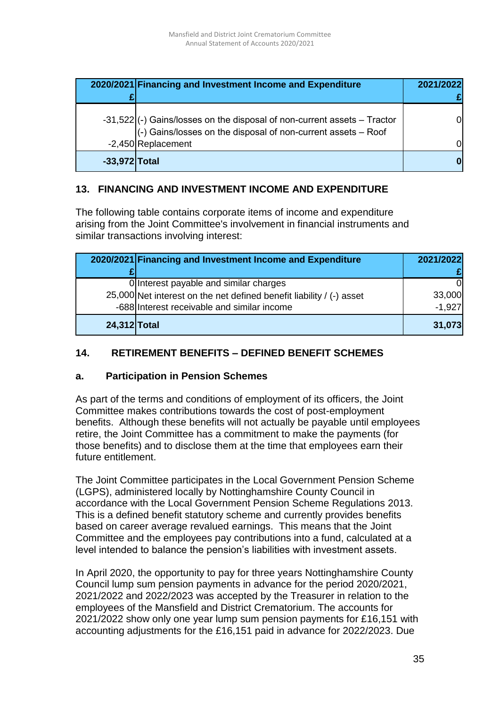|                 | 2020/2021 Financing and Investment Income and Expenditure                                                                                                         | 2021/2022 |
|-----------------|-------------------------------------------------------------------------------------------------------------------------------------------------------------------|-----------|
|                 | -31,522 (-) Gains/losses on the disposal of non-current assets – Tractor<br>(-) Gains/losses on the disposal of non-current assets – Roof<br>$-2,450$ Replacement | Ωl<br>Ωl  |
| $-33,972$ Total |                                                                                                                                                                   |           |

## **13. FINANCING AND INVESTMENT INCOME AND EXPENDITURE**

The following table contains corporate items of income and expenditure arising from the Joint Committee's involvement in financial instruments and similar transactions involving interest:

|              | 2020/2021 Financing and Investment Income and Expenditure            | 2021/2022 |
|--------------|----------------------------------------------------------------------|-----------|
|              |                                                                      |           |
|              | Olnterest payable and similar charges                                |           |
|              | 25,000 Net interest on the net defined benefit liability / (-) asset | 33,000    |
|              | -688 Interest receivable and similar income                          | $-1,927$  |
| 24,312 Total |                                                                      | 31,073    |

# **14. RETIREMENT BENEFITS – DEFINED BENEFIT SCHEMES**

## **a. Participation in Pension Schemes**

As part of the terms and conditions of employment of its officers, the Joint Committee makes contributions towards the cost of post-employment benefits. Although these benefits will not actually be payable until employees retire, the Joint Committee has a commitment to make the payments (for those benefits) and to disclose them at the time that employees earn their future entitlement.

The Joint Committee participates in the Local Government Pension Scheme (LGPS), administered locally by Nottinghamshire County Council in accordance with the Local Government Pension Scheme Regulations 2013. This is a defined benefit statutory scheme and currently provides benefits based on career average revalued earnings. This means that the Joint Committee and the employees pay contributions into a fund, calculated at a level intended to balance the pension's liabilities with investment assets.

In April 2020, the opportunity to pay for three years Nottinghamshire County Council lump sum pension payments in advance for the period 2020/2021, 2021/2022 and 2022/2023 was accepted by the Treasurer in relation to the employees of the Mansfield and District Crematorium. The accounts for 2021/2022 show only one year lump sum pension payments for £16,151 with accounting adjustments for the £16,151 paid in advance for 2022/2023. Due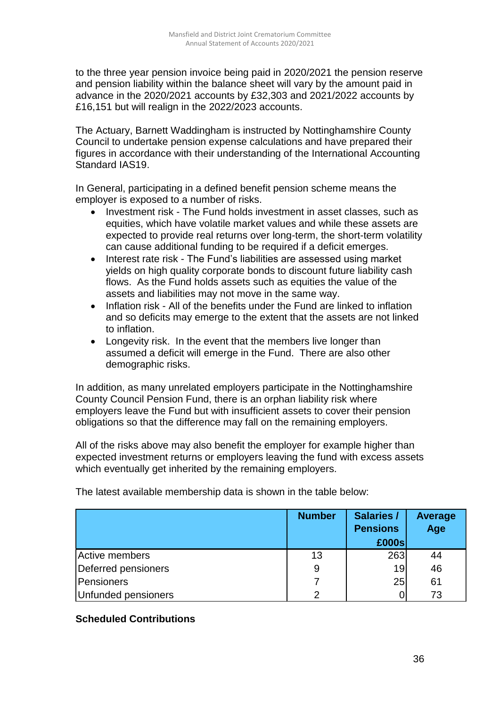to the three year pension invoice being paid in 2020/2021 the pension reserve and pension liability within the balance sheet will vary by the amount paid in advance in the 2020/2021 accounts by £32,303 and 2021/2022 accounts by £16,151 but will realign in the 2022/2023 accounts.

The Actuary, Barnett Waddingham is instructed by Nottinghamshire County Council to undertake pension expense calculations and have prepared their figures in accordance with their understanding of the International Accounting Standard IAS19.

In General, participating in a defined benefit pension scheme means the employer is exposed to a number of risks.

- Investment risk The Fund holds investment in asset classes, such as equities, which have volatile market values and while these assets are expected to provide real returns over long-term, the short-term volatility can cause additional funding to be required if a deficit emerges.
- Interest rate risk The Fund's liabilities are assessed using market yields on high quality corporate bonds to discount future liability cash flows. As the Fund holds assets such as equities the value of the assets and liabilities may not move in the same way.
- Inflation risk All of the benefits under the Fund are linked to inflation and so deficits may emerge to the extent that the assets are not linked to inflation.
- Longevity risk. In the event that the members live longer than assumed a deficit will emerge in the Fund. There are also other demographic risks.

In addition, as many unrelated employers participate in the Nottinghamshire County Council Pension Fund, there is an orphan liability risk where employers leave the Fund but with insufficient assets to cover their pension obligations so that the difference may fall on the remaining employers.

All of the risks above may also benefit the employer for example higher than expected investment returns or employers leaving the fund with excess assets which eventually get inherited by the remaining employers.

|                     | <b>Number</b> | <b>Salaries /</b><br><b>Pensions</b><br>£000s | <b>Average</b><br>Age |
|---------------------|---------------|-----------------------------------------------|-----------------------|
| Active members      | 13            | 263                                           | 44                    |
| Deferred pensioners | 9             | 19                                            | 46                    |
| Pensioners          |               | 25                                            | 61                    |
| Unfunded pensioners | 2             |                                               | 73                    |

The latest available membership data is shown in the table below:

#### **Scheduled Contributions**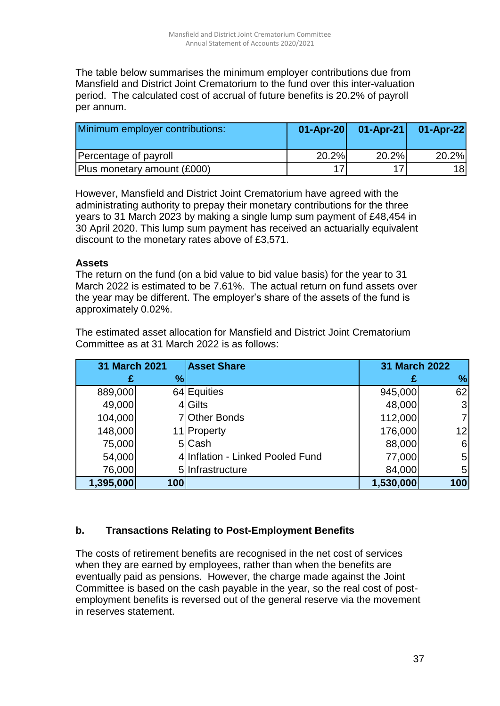The table below summarises the minimum employer contributions due from Mansfield and District Joint Crematorium to the fund over this inter-valuation period. The calculated cost of accrual of future benefits is 20.2% of payroll per annum.

| Minimum employer contributions: |       |       | 01-Apr-20 01-Apr-21 01-Apr-22 |
|---------------------------------|-------|-------|-------------------------------|
| Percentage of payroll           | 20.2% | 20.2% | 20.2%                         |
| Plus monetary amount (£000)     |       |       | 18l                           |

However, Mansfield and District Joint Crematorium have agreed with the administrating authority to prepay their monetary contributions for the three years to 31 March 2023 by making a single lump sum payment of £48,454 in 30 April 2020. This lump sum payment has received an actuarially equivalent discount to the monetary rates above of £3,571.

#### **Assets**

The return on the fund (on a bid value to bid value basis) for the year to 31 March 2022 is estimated to be 7.61%. The actual return on fund assets over the year may be different. The employer's share of the assets of the fund is approximately 0.02%.

The estimated asset allocation for Mansfield and District Joint Crematorium Committee as at 31 March 2022 is as follows:

| 31 March 2021 |               | <b>Asset Share</b>               | <b>31 March 2022</b> |                 |
|---------------|---------------|----------------------------------|----------------------|-----------------|
| £             | $\frac{1}{2}$ |                                  |                      | $\%$            |
| 889,000       |               | 64 Equities                      | 945,000              | 62              |
| 49,000        |               | 4 Gilts                          | 48,000               | 3               |
| 104,000       |               | 7 Other Bonds                    | 112,000              | $\overline{7}$  |
| 148,000       |               | 11 Property                      | 176,000              | 12 <sub>1</sub> |
| 75,000        |               | 5 Cash                           | 88,000               | 6               |
| 54,000        |               | 4 Inflation - Linked Pooled Fund | 77,000               | 5               |
| 76,000        |               | 5 Infrastructure                 | 84,000               | 5               |
| 1,395,000     | 100           |                                  | 1,530,000            | 100             |

## **b. Transactions Relating to Post-Employment Benefits**

The costs of retirement benefits are recognised in the net cost of services when they are earned by employees, rather than when the benefits are eventually paid as pensions. However, the charge made against the Joint Committee is based on the cash payable in the year, so the real cost of postemployment benefits is reversed out of the general reserve via the movement in reserves statement.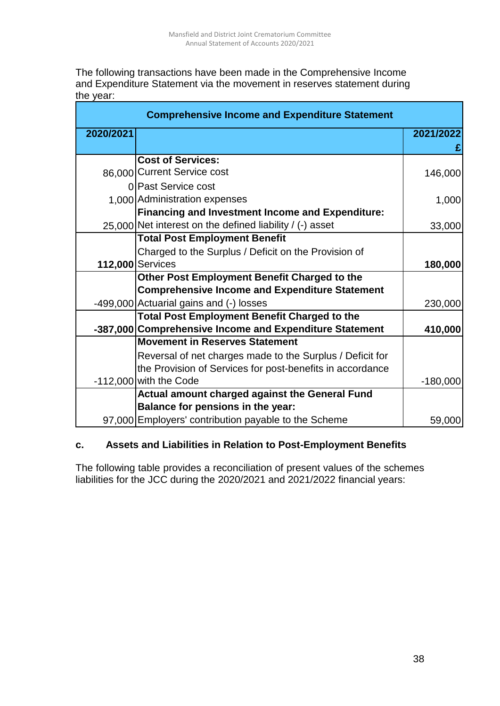The following transactions have been made in the Comprehensive Income and Expenditure Statement via the movement in reserves statement during the year:

| <b>Comprehensive Income and Expenditure Statement</b> |                                                           |            |  |
|-------------------------------------------------------|-----------------------------------------------------------|------------|--|
| 2020/2021                                             |                                                           | 2021/2022  |  |
|                                                       |                                                           |            |  |
|                                                       | <b>Cost of Services:</b>                                  |            |  |
|                                                       | 86,000 Current Service cost                               | 146,000    |  |
|                                                       | 0 Past Service cost                                       |            |  |
|                                                       | 1,000 Administration expenses                             | 1,000      |  |
|                                                       | <b>Financing and Investment Income and Expenditure:</b>   |            |  |
|                                                       | 25,000 Net interest on the defined liability / (-) asset  | 33,000     |  |
|                                                       | <b>Total Post Employment Benefit</b>                      |            |  |
|                                                       | Charged to the Surplus / Deficit on the Provision of      |            |  |
|                                                       | 112,000 Services                                          | 180,000    |  |
|                                                       | Other Post Employment Benefit Charged to the              |            |  |
|                                                       | <b>Comprehensive Income and Expenditure Statement</b>     |            |  |
|                                                       | -499,000 Actuarial gains and (-) losses                   | 230,000    |  |
|                                                       | <b>Total Post Employment Benefit Charged to the</b>       |            |  |
|                                                       | -387,000 Comprehensive Income and Expenditure Statement   | 410,000    |  |
|                                                       | <b>Movement in Reserves Statement</b>                     |            |  |
|                                                       | Reversal of net charges made to the Surplus / Deficit for |            |  |
|                                                       | the Provision of Services for post-benefits in accordance |            |  |
|                                                       | $-112,000$ with the Code                                  | $-180,000$ |  |
|                                                       | Actual amount charged against the General Fund            |            |  |
|                                                       | Balance for pensions in the year:                         |            |  |
|                                                       | 97,000 Employers' contribution payable to the Scheme      | 59,000     |  |

#### **c. Assets and Liabilities in Relation to Post-Employment Benefits**

The following table provides a reconciliation of present values of the schemes liabilities for the JCC during the 2020/2021 and 2021/2022 financial years: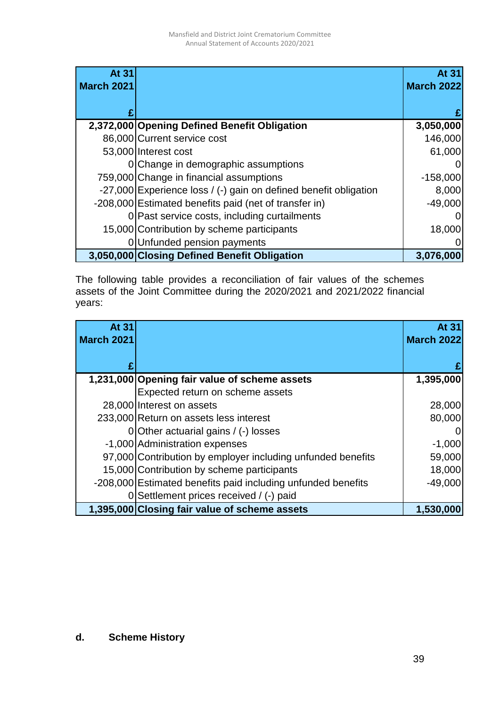| <b>At 31</b>      |                                                                  | At 31             |
|-------------------|------------------------------------------------------------------|-------------------|
| <b>March 2021</b> |                                                                  | <b>March 2022</b> |
|                   |                                                                  |                   |
|                   |                                                                  |                   |
|                   | 2,372,000 Opening Defined Benefit Obligation                     | 3,050,000         |
|                   | 86,000 Current service cost                                      | 146,000           |
|                   | 53,000 Interest cost                                             | 61,000            |
|                   | 0 Change in demographic assumptions                              |                   |
|                   | 759,000 Change in financial assumptions                          | $-158,000$        |
|                   | -27,000 Experience loss / (-) gain on defined benefit obligation | 8,000             |
|                   | -208,000 Estimated benefits paid (net of transfer in)            | $-49,000$         |
|                   | 0 Past service costs, including curtailments                     | 0                 |
|                   | 15,000 Contribution by scheme participants                       | 18,000            |
|                   | 0 Unfunded pension payments                                      |                   |
|                   | 3,050,000 Closing Defined Benefit Obligation                     | 3,076,000         |

The following table provides a reconciliation of fair values of the schemes assets of the Joint Committee during the 2020/2021 and 2021/2022 financial years:

| <b>At 31</b>      |                                                              | At 31             |
|-------------------|--------------------------------------------------------------|-------------------|
| <b>March 2021</b> |                                                              | <b>March 2022</b> |
|                   |                                                              |                   |
|                   |                                                              |                   |
|                   | 1,231,000 Opening fair value of scheme assets                | 1,395,000         |
|                   | Expected return on scheme assets                             |                   |
|                   | 28,000 Interest on assets                                    | 28,000            |
|                   | 233,000 Return on assets less interest                       | 80,000            |
|                   | 0 Other actuarial gains / (-) losses                         | $\Omega$          |
|                   | -1,000 Administration expenses                               | $-1,000$          |
|                   | 97,000 Contribution by employer including unfunded benefits  | 59,000            |
|                   | 15,000 Contribution by scheme participants                   | 18,000            |
|                   | -208,000 Estimated benefits paid including unfunded benefits | $-49,000$         |
| 0                 | Settlement prices received / (-) paid                        |                   |
|                   | 1,395,000 Closing fair value of scheme assets                | 1,530,000         |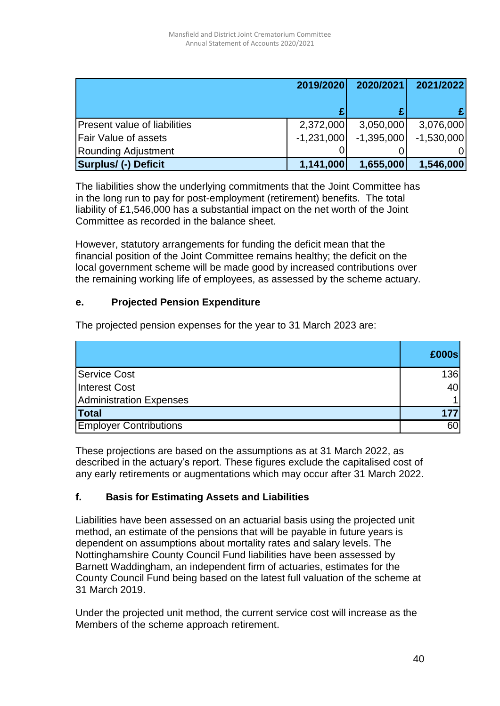|                                     | 2019/2020    | 2020/2021    | 2021/2022    |
|-------------------------------------|--------------|--------------|--------------|
|                                     |              |              |              |
| <b>Present value of liabilities</b> | 2,372,000    | 3,050,000    | 3,076,000    |
| <b>Fair Value of assets</b>         | $-1,231,000$ | $-1,395,000$ | $-1,530,000$ |
| Rounding Adjustment                 |              |              |              |
| <b>Surplus/ (-) Deficit</b>         | 1,141,000    | 1,655,000    | 1,546,000    |

The liabilities show the underlying commitments that the Joint Committee has in the long run to pay for post-employment (retirement) benefits. The total liability of £1,546,000 has a substantial impact on the net worth of the Joint Committee as recorded in the balance sheet.

However, statutory arrangements for funding the deficit mean that the financial position of the Joint Committee remains healthy; the deficit on the local government scheme will be made good by increased contributions over the remaining working life of employees, as assessed by the scheme actuary.

#### **e. Projected Pension Expenditure**

The projected pension expenses for the year to 31 March 2023 are:

|                               | £000s |
|-------------------------------|-------|
| <b>Service Cost</b>           | 136   |
| Interest Cost                 | 40    |
| Administration Expenses       |       |
| <b>Total</b>                  | 177   |
| <b>Employer Contributions</b> | 60    |

These projections are based on the assumptions as at 31 March 2022, as described in the actuary's report. These figures exclude the capitalised cost of any early retirements or augmentations which may occur after 31 March 2022.

## **f. Basis for Estimating Assets and Liabilities**

Liabilities have been assessed on an actuarial basis using the projected unit method, an estimate of the pensions that will be payable in future years is dependent on assumptions about mortality rates and salary levels. The Nottinghamshire County Council Fund liabilities have been assessed by Barnett Waddingham, an independent firm of actuaries, estimates for the County Council Fund being based on the latest full valuation of the scheme at 31 March 2019.

Under the projected unit method, the current service cost will increase as the Members of the scheme approach retirement.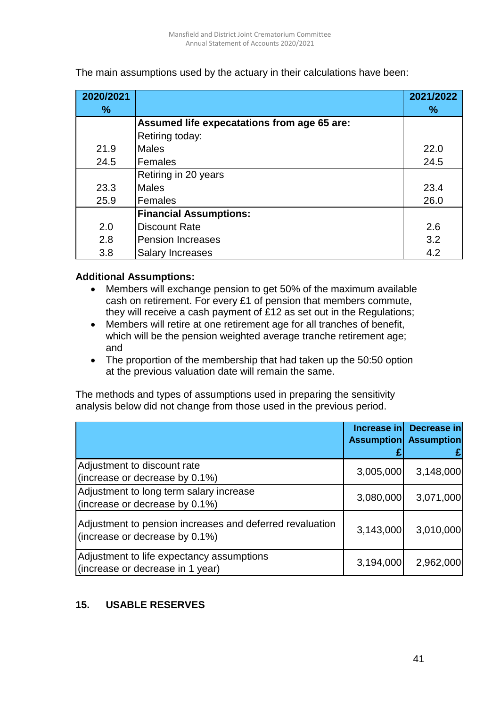| 2020/2021 |                                             | 2021/2022 |
|-----------|---------------------------------------------|-----------|
| $\%$      |                                             | %         |
|           | Assumed life expecatations from age 65 are: |           |
|           | Retiring today:                             |           |
| 21.9      | <b>Males</b>                                | 22.0      |
| 24.5      | Females                                     | 24.5      |
|           | Retiring in 20 years                        |           |
| 23.3      | <b>Males</b>                                | 23.4      |
| 25.9      | Females                                     | 26.0      |
|           | <b>Financial Assumptions:</b>               |           |
| 2.0       | <b>Discount Rate</b>                        | 2.6       |
| 2.8       | <b>Pension Increases</b>                    | 3.2       |
| 3.8       | <b>Salary Increases</b>                     | 4.2       |

The main assumptions used by the actuary in their calculations have been:

#### **Additional Assumptions:**

- Members will exchange pension to get 50% of the maximum available cash on retirement. For every £1 of pension that members commute, they will receive a cash payment of £12 as set out in the Regulations;
- Members will retire at one retirement age for all tranches of benefit, which will be the pension weighted average tranche retirement age; and
- The proportion of the membership that had taken up the 50:50 option at the previous valuation date will remain the same.

The methods and types of assumptions used in preparing the sensitivity analysis below did not change from those used in the previous period.

|                                                                                            | Increase in<br>Assumption | Decrease in<br><b>Assumption</b> |
|--------------------------------------------------------------------------------------------|---------------------------|----------------------------------|
| Adjustment to discount rate<br>(increase or decrease by 0.1%)                              | 3,005,000                 | 3,148,000                        |
| Adjustment to long term salary increase<br>(increase or decrease by 0.1%)                  | 3,080,000                 | 3,071,000                        |
| Adjustment to pension increases and deferred revaluation<br>(increase or decrease by 0.1%) | 3,143,000                 | 3,010,000                        |
| Adjustment to life expectancy assumptions<br>(increase or decrease in 1 year)              | 3,194,000                 | 2,962,000                        |

## **15. USABLE RESERVES**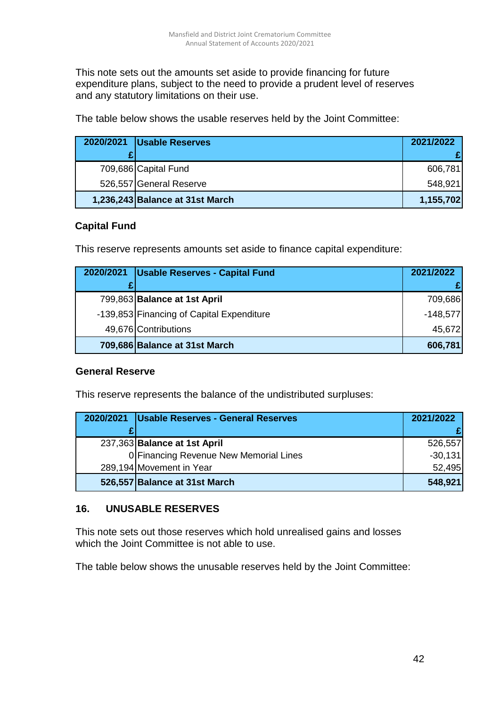This note sets out the amounts set aside to provide financing for future expenditure plans, subject to the need to provide a prudent level of reserves and any statutory limitations on their use.

The table below shows the usable reserves held by the Joint Committee:

| 2020/2021 | <b>Usable Reserves</b>          | 2021/2022 |
|-----------|---------------------------------|-----------|
|           |                                 |           |
|           | 709,686 Capital Fund            | 606,781   |
|           | 526,557 General Reserve         | 548,921   |
|           | 1,236,243 Balance at 31st March | 1,155,702 |

## **Capital Fund**

This reserve represents amounts set aside to finance capital expenditure:

| 2020/2021 | <b>Usable Reserves - Capital Fund</b>     | 2021/2022  |
|-----------|-------------------------------------------|------------|
| £         |                                           |            |
|           | 799,863 Balance at 1st April              | 709,686    |
|           | -139,853 Financing of Capital Expenditure | $-148,577$ |
|           | 49,676 Contributions                      | 45,672     |
|           | 709,686 Balance at 31st March             | 606,781    |

## **General Reserve**

This reserve represents the balance of the undistributed surpluses:

| 2020/2021 | Usable Reserves - General Reserves     | 2021/2022 |
|-----------|----------------------------------------|-----------|
|           |                                        |           |
|           | 237,363 Balance at 1st April           | 526,557   |
|           | 0 Financing Revenue New Memorial Lines | $-30,131$ |
|           | 289,194 Movement in Year               | 52,495    |
|           | 526,557 Balance at 31st March          | 548,921   |

## **16. UNUSABLE RESERVES**

This note sets out those reserves which hold unrealised gains and losses which the Joint Committee is not able to use.

The table below shows the unusable reserves held by the Joint Committee: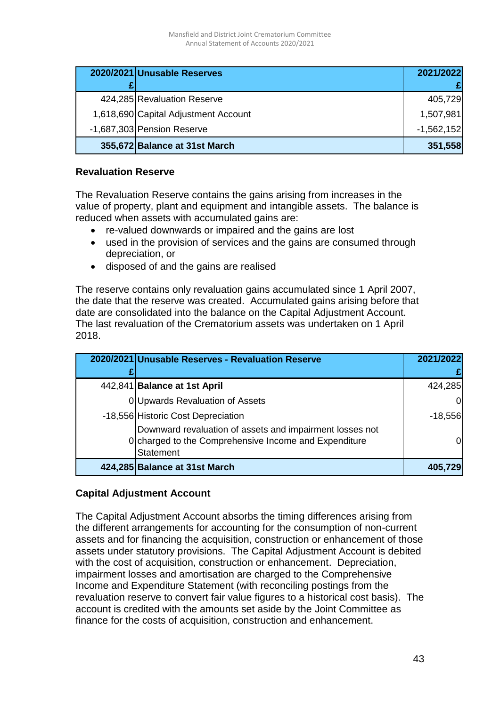| 2020/2021 Unusable Reserves          | 2021/2022    |
|--------------------------------------|--------------|
|                                      |              |
| 424,285 Revaluation Reserve          | 405,729      |
| 1,618,690 Capital Adjustment Account | 1,507,981    |
| -1,687,303 Pension Reserve           | $-1,562,152$ |
| 355,672 Balance at 31st March        | 351,558      |

#### **Revaluation Reserve**

The Revaluation Reserve contains the gains arising from increases in the value of property, plant and equipment and intangible assets. The balance is reduced when assets with accumulated gains are:

- re-valued downwards or impaired and the gains are lost
- used in the provision of services and the gains are consumed through depreciation, or
- disposed of and the gains are realised

The reserve contains only revaluation gains accumulated since 1 April 2007, the date that the reserve was created. Accumulated gains arising before that date are consolidated into the balance on the Capital Adjustment Account. The last revaluation of the Crematorium assets was undertaken on 1 April 2018.

| 2020/2021 Unusable Reserves - Revaluation Reserve                                                                                     | 2021/2022 |
|---------------------------------------------------------------------------------------------------------------------------------------|-----------|
|                                                                                                                                       |           |
| 442,841 Balance at 1st April                                                                                                          | 424,285   |
| 0 Upwards Revaluation of Assets                                                                                                       | 0         |
| -18,556 Historic Cost Depreciation                                                                                                    | $-18,556$ |
| Downward revaluation of assets and impairment losses not<br>0 Charged to the Comprehensive Income and Expenditure<br><b>Statement</b> | ΩI        |
| 424,285 Balance at 31st March                                                                                                         | 405,729   |

## **Capital Adjustment Account**

The Capital Adjustment Account absorbs the timing differences arising from the different arrangements for accounting for the consumption of non-current assets and for financing the acquisition, construction or enhancement of those assets under statutory provisions. The Capital Adjustment Account is debited with the cost of acquisition, construction or enhancement. Depreciation, impairment losses and amortisation are charged to the Comprehensive Income and Expenditure Statement (with reconciling postings from the revaluation reserve to convert fair value figures to a historical cost basis). The account is credited with the amounts set aside by the Joint Committee as finance for the costs of acquisition, construction and enhancement.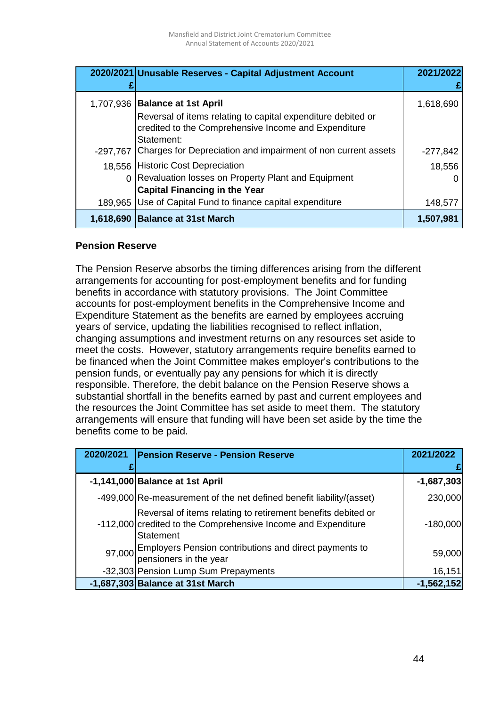|            | 2020/2021 Unusable Reserves - Capital Adjustment Account                                                                           | 2021/2022  |
|------------|------------------------------------------------------------------------------------------------------------------------------------|------------|
|            |                                                                                                                                    |            |
|            | 1,707,936   Balance at 1st April                                                                                                   | 1,618,690  |
|            | Reversal of items relating to capital expenditure debited or<br>credited to the Comprehensive Income and Expenditure<br>Statement: |            |
| $-297,767$ | Charges for Depreciation and impairment of non current assets                                                                      | $-277,842$ |
|            | 18,556 Historic Cost Depreciation                                                                                                  | 18,556     |
|            | Revaluation losses on Property Plant and Equipment                                                                                 |            |
|            | <b>Capital Financing in the Year</b>                                                                                               |            |
| 189,965    | Use of Capital Fund to finance capital expenditure                                                                                 | 148,577    |
|            | 1,618,690 Balance at 31st March                                                                                                    | 1,507,981  |

#### **Pension Reserve**

The Pension Reserve absorbs the timing differences arising from the different arrangements for accounting for post-employment benefits and for funding benefits in accordance with statutory provisions. The Joint Committee accounts for post-employment benefits in the Comprehensive Income and Expenditure Statement as the benefits are earned by employees accruing years of service, updating the liabilities recognised to reflect inflation, changing assumptions and investment returns on any resources set aside to meet the costs. However, statutory arrangements require benefits earned to be financed when the Joint Committee makes employer's contributions to the pension funds, or eventually pay any pensions for which it is directly responsible. Therefore, the debit balance on the Pension Reserve shows a substantial shortfall in the benefits earned by past and current employees and the resources the Joint Committee has set aside to meet them. The statutory arrangements will ensure that funding will have been set aside by the time the benefits come to be paid.

| 2020/2021 | <b>Pension Reserve - Pension Reserve</b>                                                                                                          | 2021/2022    |
|-----------|---------------------------------------------------------------------------------------------------------------------------------------------------|--------------|
|           |                                                                                                                                                   |              |
|           | -1,141,000 Balance at 1st April                                                                                                                   | $-1,687,303$ |
|           | -499,000 Re-measurement of the net defined benefit liability/(asset)                                                                              | 230,000      |
|           | Reversal of items relating to retirement benefits debited or<br>-112,000 credited to the Comprehensive Income and Expenditure<br><b>Statement</b> | $-180,000$   |
|           | 97,000 Employers Pension contributions and direct payments to<br>pensioners in the year                                                           | 59,000       |
|           | -32,303 Pension Lump Sum Prepayments                                                                                                              | 16,151       |
|           | $-1,687,303$ Balance at 31st March                                                                                                                | $-1,562,152$ |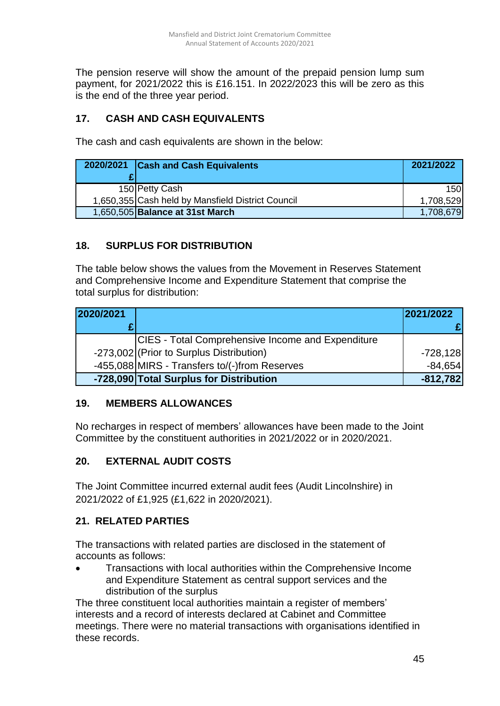The pension reserve will show the amount of the prepaid pension lump sum payment, for 2021/2022 this is £16.151. In 2022/2023 this will be zero as this is the end of the three year period.

# **17. CASH AND CASH EQUIVALENTS**

The cash and cash equivalents are shown in the below:

| 2020/2021 Cash and Cash Equivalents               | 2021/2022 |
|---------------------------------------------------|-----------|
|                                                   |           |
| 150 Petty Cash                                    | 150       |
| 1,650,355 Cash held by Mansfield District Council | 1,708,529 |
| 1,650,505 Balance at 31st March                   | 1,708,679 |

# **18. SURPLUS FOR DISTRIBUTION**

The table below shows the values from the Movement in Reserves Statement and Comprehensive Income and Expenditure Statement that comprise the total surplus for distribution:

| 2020/2021 |                                                   | 2021/2022  |
|-----------|---------------------------------------------------|------------|
|           |                                                   |            |
|           | CIES - Total Comprehensive Income and Expenditure |            |
|           | -273,002 (Prior to Surplus Distribution)          | $-728,128$ |
|           | -455,088 MIRS - Transfers to/(-)from Reserves     | $-84,654$  |
|           | -728,090 Total Surplus for Distribution           | $-812,782$ |

# **19. MEMBERS ALLOWANCES**

No recharges in respect of members' allowances have been made to the Joint Committee by the constituent authorities in 2021/2022 or in 2020/2021.

# **20. EXTERNAL AUDIT COSTS**

The Joint Committee incurred external audit fees (Audit Lincolnshire) in 2021/2022 of £1,925 (£1,622 in 2020/2021).

# **21. RELATED PARTIES**

The transactions with related parties are disclosed in the statement of accounts as follows:

 Transactions with local authorities within the Comprehensive Income and Expenditure Statement as central support services and the distribution of the surplus

The three constituent local authorities maintain a register of members' interests and a record of interests declared at Cabinet and Committee meetings. There were no material transactions with organisations identified in these records.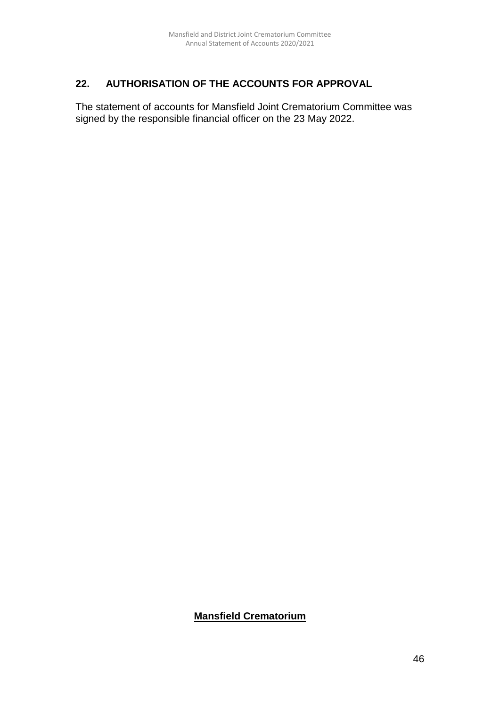# **22. AUTHORISATION OF THE ACCOUNTS FOR APPROVAL**

The statement of accounts for Mansfield Joint Crematorium Committee was signed by the responsible financial officer on the 23 May 2022.

## **Mansfield Crematorium**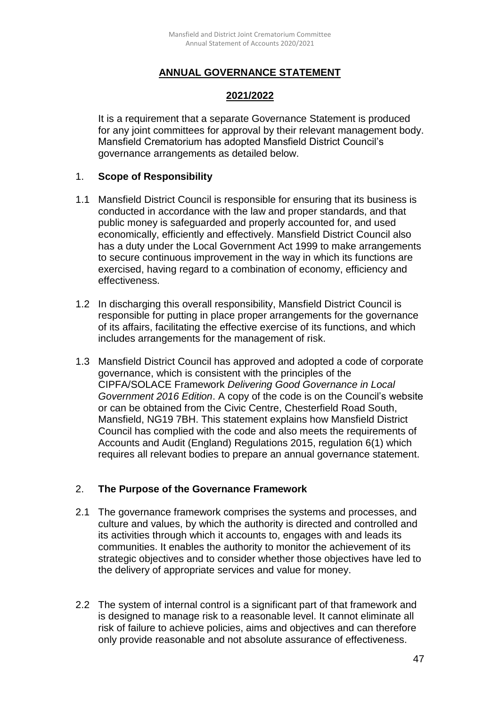# **ANNUAL GOVERNANCE STATEMENT**

#### **2021/2022**

It is a requirement that a separate Governance Statement is produced for any joint committees for approval by their relevant management body. Mansfield Crematorium has adopted Mansfield District Council's governance arrangements as detailed below.

#### 1. **Scope of Responsibility**

- 1.1 Mansfield District Council is responsible for ensuring that its business is conducted in accordance with the law and proper standards, and that public money is safeguarded and properly accounted for, and used economically, efficiently and effectively. Mansfield District Council also has a duty under the Local Government Act 1999 to make arrangements to secure continuous improvement in the way in which its functions are exercised, having regard to a combination of economy, efficiency and effectiveness.
- 1.2 In discharging this overall responsibility, Mansfield District Council is responsible for putting in place proper arrangements for the governance of its affairs, facilitating the effective exercise of its functions, and which includes arrangements for the management of risk.
- 1.3 Mansfield District Council has approved and adopted a code of corporate governance, which is consistent with the principles of the CIPFA/SOLACE Framework *Delivering Good Governance in Local Government 2016 Edition*. A copy of the code is on the Council's website or can be obtained from the Civic Centre, Chesterfield Road South, Mansfield, NG19 7BH. This statement explains how Mansfield District Council has complied with the code and also meets the requirements of Accounts and Audit (England) Regulations 2015, regulation 6(1) which requires all relevant bodies to prepare an annual governance statement.

## 2. **The Purpose of the Governance Framework**

- 2.1 The governance framework comprises the systems and processes, and culture and values, by which the authority is directed and controlled and its activities through which it accounts to, engages with and leads its communities. It enables the authority to monitor the achievement of its strategic objectives and to consider whether those objectives have led to the delivery of appropriate services and value for money.
- 2.2 The system of internal control is a significant part of that framework and is designed to manage risk to a reasonable level. It cannot eliminate all risk of failure to achieve policies, aims and objectives and can therefore only provide reasonable and not absolute assurance of effectiveness.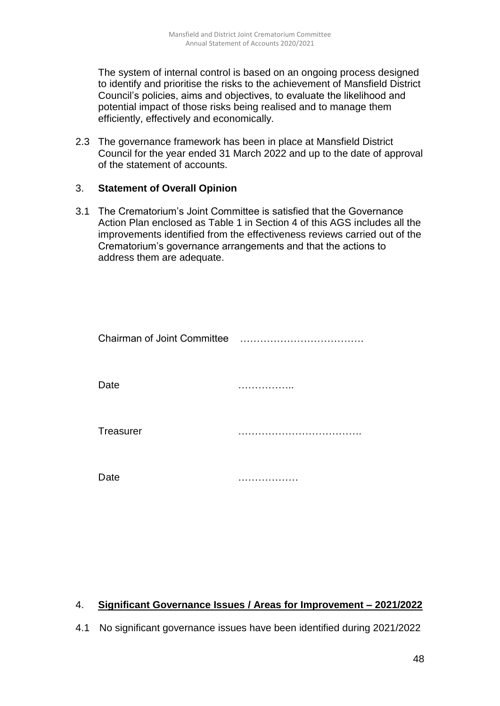The system of internal control is based on an ongoing process designed to identify and prioritise the risks to the achievement of Mansfield District Council's policies, aims and objectives, to evaluate the likelihood and potential impact of those risks being realised and to manage them efficiently, effectively and economically.

2.3 The governance framework has been in place at Mansfield District Council for the year ended 31 March 2022 and up to the date of approval of the statement of accounts.

#### 3. **Statement of Overall Opinion**

3.1 The Crematorium's Joint Committee is satisfied that the Governance Action Plan enclosed as Table 1 in Section 4 of this AGS includes all the improvements identified from the effectiveness reviews carried out of the Crematorium's governance arrangements and that the actions to address them are adequate.

| Chairman of Joint Committee |  |
|-----------------------------|--|
| Date                        |  |
| <b>Treasurer</b>            |  |
| Date                        |  |

## 4. **Significant Governance Issues / Areas for Improvement – 2021/2022**

4.1 No significant governance issues have been identified during 2021/2022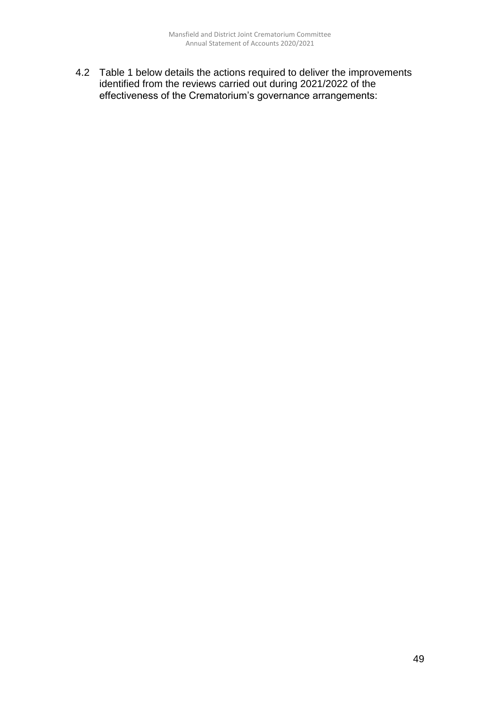4.2 Table 1 below details the actions required to deliver the improvements identified from the reviews carried out during 2021/2022 of the effectiveness of the Crematorium's governance arrangements: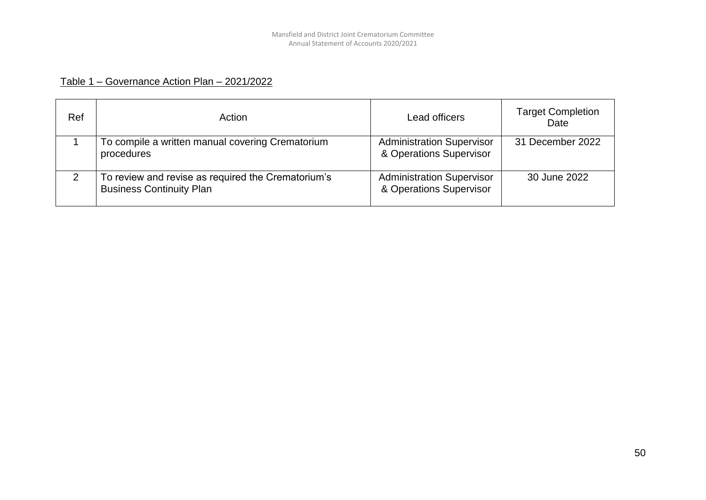# Table 1 – Governance Action Plan – 2021/2022

| Ref | Action                                                                                | Lead officers                                               | <b>Target Completion</b><br>Date |
|-----|---------------------------------------------------------------------------------------|-------------------------------------------------------------|----------------------------------|
|     | To compile a written manual covering Crematorium<br>procedures                        | <b>Administration Supervisor</b><br>& Operations Supervisor | 31 December 2022                 |
|     | To review and revise as required the Crematorium's<br><b>Business Continuity Plan</b> | <b>Administration Supervisor</b><br>& Operations Supervisor | 30 June 2022                     |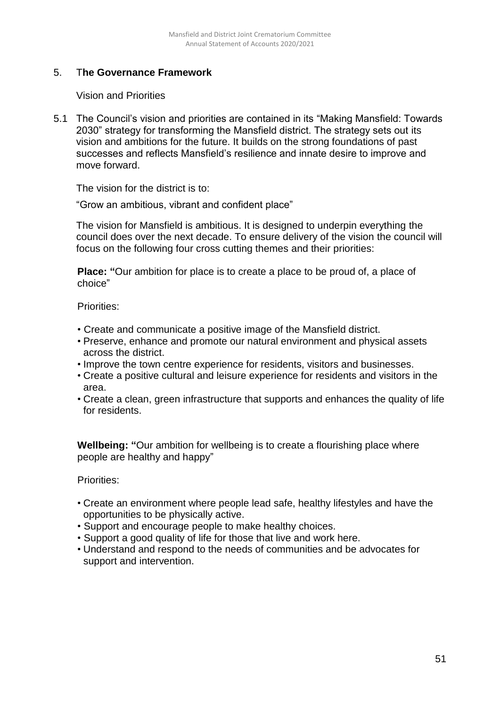# 5. T**he Governance Framework**

Vision and Priorities

5.1 The Council's vision and priorities are contained in its "Making Mansfield: Towards 2030" strategy for transforming the Mansfield district. The strategy sets out its vision and ambitions for the future. It builds on the strong foundations of past successes and reflects Mansfield's resilience and innate desire to improve and move forward.

The vision for the district is to:

"Grow an ambitious, vibrant and confident place"

The vision for Mansfield is ambitious. It is designed to underpin everything the council does over the next decade. To ensure delivery of the vision the council will focus on the following four cross cutting themes and their priorities:

**Place: "**Our ambition for place is to create a place to be proud of, a place of choice"

Priorities:

- Create and communicate a positive image of the Mansfield district.
- Preserve, enhance and promote our natural environment and physical assets across the district.
- Improve the town centre experience for residents, visitors and businesses.
- Create a positive cultural and leisure experience for residents and visitors in the area.
- Create a clean, green infrastructure that supports and enhances the quality of life for residents.

**Wellbeing: "**Our ambition for wellbeing is to create a flourishing place where people are healthy and happy"

Priorities:

- Create an environment where people lead safe, healthy lifestyles and have the opportunities to be physically active.
- Support and encourage people to make healthy choices.
- Support a good quality of life for those that live and work here.
- Understand and respond to the needs of communities and be advocates for support and intervention.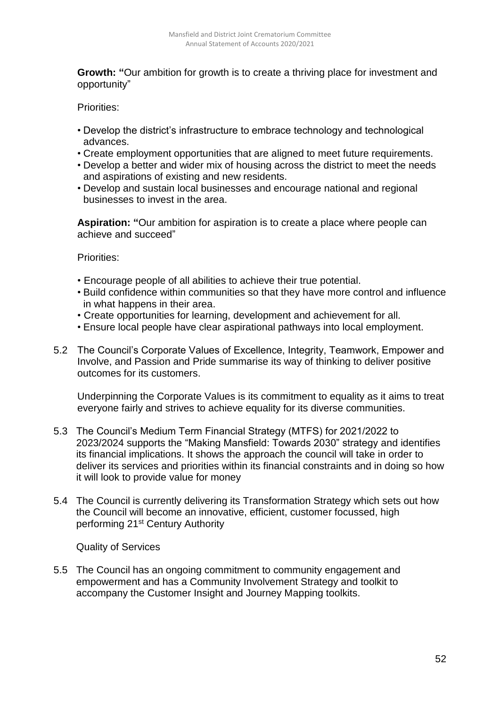**Growth: "**Our ambition for growth is to create a thriving place for investment and opportunity"

Priorities:

- Develop the district's infrastructure to embrace technology and technological advances.
- Create employment opportunities that are aligned to meet future requirements.
- Develop a better and wider mix of housing across the district to meet the needs and aspirations of existing and new residents.
- Develop and sustain local businesses and encourage national and regional businesses to invest in the area.

**Aspiration: "**Our ambition for aspiration is to create a place where people can achieve and succeed"

Priorities:

- Encourage people of all abilities to achieve their true potential.
- Build confidence within communities so that they have more control and influence in what happens in their area.
- Create opportunities for learning, development and achievement for all.
- Ensure local people have clear aspirational pathways into local employment.
- 5.2 The Council's Corporate Values of Excellence, Integrity, Teamwork, Empower and Involve, and Passion and Pride summarise its way of thinking to deliver positive outcomes for its customers.

Underpinning the Corporate Values is its commitment to equality as it aims to treat everyone fairly and strives to achieve equality for its diverse communities.

- 5.3 The Council's Medium Term Financial Strategy (MTFS) for 2021/2022 to 2023/2024 supports the "Making Mansfield: Towards 2030" strategy and identifies its financial implications. It shows the approach the council will take in order to deliver its services and priorities within its financial constraints and in doing so how it will look to provide value for money
- 5.4 The Council is currently delivering its Transformation Strategy which sets out how the Council will become an innovative, efficient, customer focussed, high performing 21<sup>st</sup> Century Authority

Quality of Services

5.5 The Council has an ongoing commitment to community engagement and empowerment and has a Community Involvement Strategy and toolkit to accompany the Customer Insight and Journey Mapping toolkits.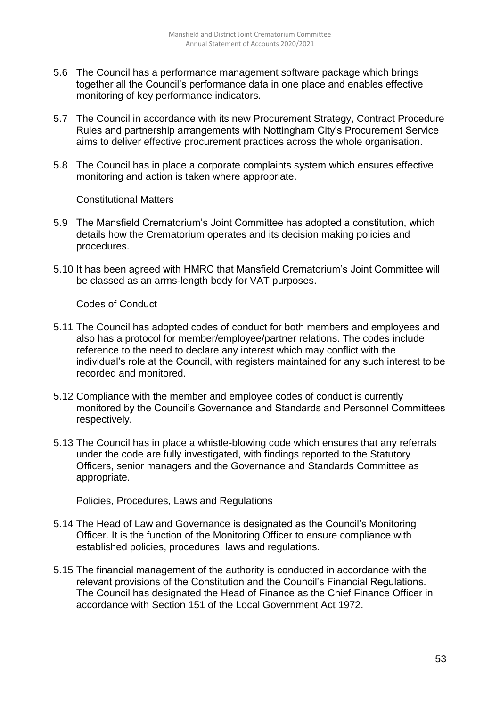- 5.6 The Council has a performance management software package which brings together all the Council's performance data in one place and enables effective monitoring of key performance indicators.
- 5.7 The Council in accordance with its new Procurement Strategy, Contract Procedure Rules and partnership arrangements with Nottingham City's Procurement Service aims to deliver effective procurement practices across the whole organisation.
- 5.8 The Council has in place a corporate complaints system which ensures effective monitoring and action is taken where appropriate.

Constitutional Matters

- 5.9 The Mansfield Crematorium's Joint Committee has adopted a constitution, which details how the Crematorium operates and its decision making policies and procedures.
- 5.10 It has been agreed with HMRC that Mansfield Crematorium's Joint Committee will be classed as an arms-length body for VAT purposes.

Codes of Conduct

- 5.11 The Council has adopted codes of conduct for both members and employees and also has a protocol for member/employee/partner relations. The codes include reference to the need to declare any interest which may conflict with the individual's role at the Council, with registers maintained for any such interest to be recorded and monitored.
- 5.12 Compliance with the member and employee codes of conduct is currently monitored by the Council's Governance and Standards and Personnel Committees respectively.
- 5.13 The Council has in place a whistle-blowing code which ensures that any referrals under the code are fully investigated, with findings reported to the Statutory Officers, senior managers and the Governance and Standards Committee as appropriate.

Policies, Procedures, Laws and Regulations

- 5.14 The Head of Law and Governance is designated as the Council's Monitoring Officer. It is the function of the Monitoring Officer to ensure compliance with established policies, procedures, laws and regulations.
- 5.15 The financial management of the authority is conducted in accordance with the relevant provisions of the Constitution and the Council's Financial Regulations. The Council has designated the Head of Finance as the Chief Finance Officer in accordance with Section 151 of the Local Government Act 1972.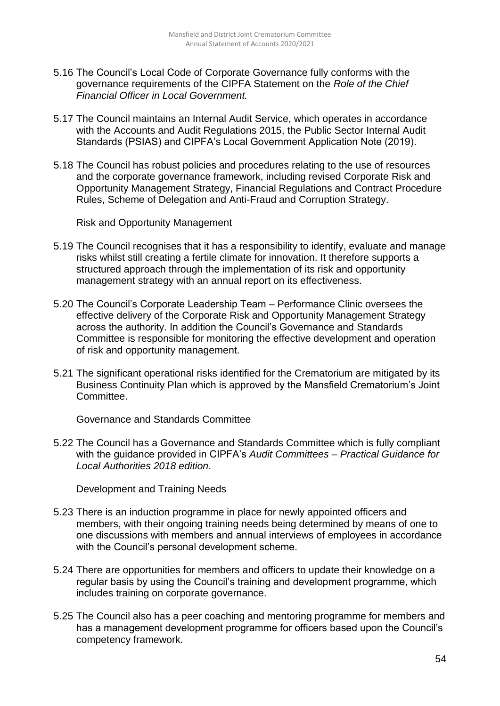- 5.16 The Council's Local Code of Corporate Governance fully conforms with the governance requirements of the CIPFA Statement on the *Role of the Chief Financial Officer in Local Government.*
- 5.17 The Council maintains an Internal Audit Service, which operates in accordance with the Accounts and Audit Regulations 2015, the Public Sector Internal Audit Standards (PSIAS) and CIPFA's Local Government Application Note (2019).
- 5.18 The Council has robust policies and procedures relating to the use of resources and the corporate governance framework, including revised Corporate Risk and Opportunity Management Strategy, Financial Regulations and Contract Procedure Rules, Scheme of Delegation and Anti-Fraud and Corruption Strategy.

Risk and Opportunity Management

- 5.19 The Council recognises that it has a responsibility to identify, evaluate and manage risks whilst still creating a fertile climate for innovation. It therefore supports a structured approach through the implementation of its risk and opportunity management strategy with an annual report on its effectiveness.
- 5.20 The Council's Corporate Leadership Team Performance Clinic oversees the effective delivery of the Corporate Risk and Opportunity Management Strategy across the authority. In addition the Council's Governance and Standards Committee is responsible for monitoring the effective development and operation of risk and opportunity management.
- 5.21 The significant operational risks identified for the Crematorium are mitigated by its Business Continuity Plan which is approved by the Mansfield Crematorium's Joint Committee.

Governance and Standards Committee

5.22 The Council has a Governance and Standards Committee which is fully compliant with the guidance provided in CIPFA's *Audit Committees – Practical Guidance for Local Authorities 2018 edition*.

Development and Training Needs

- 5.23 There is an induction programme in place for newly appointed officers and members, with their ongoing training needs being determined by means of one to one discussions with members and annual interviews of employees in accordance with the Council's personal development scheme.
- 5.24 There are opportunities for members and officers to update their knowledge on a regular basis by using the Council's training and development programme, which includes training on corporate governance.
- 5.25 The Council also has a peer coaching and mentoring programme for members and has a management development programme for officers based upon the Council's competency framework.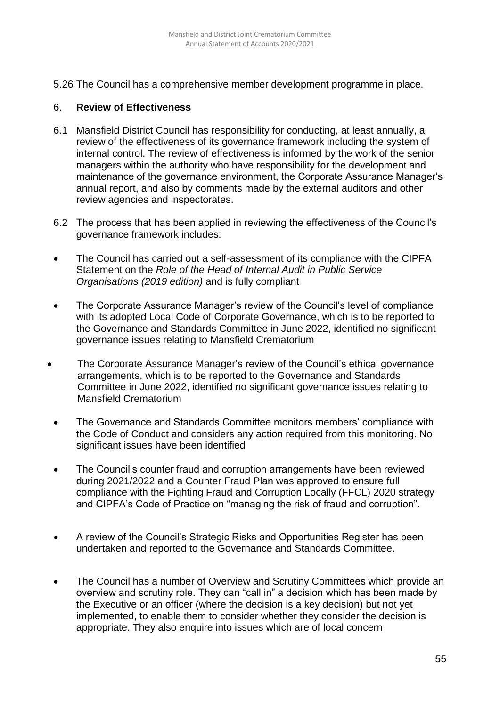5.26 The Council has a comprehensive member development programme in place.

#### 6. **Review of Effectiveness**

- 6.1 Mansfield District Council has responsibility for conducting, at least annually, a review of the effectiveness of its governance framework including the system of internal control. The review of effectiveness is informed by the work of the senior managers within the authority who have responsibility for the development and maintenance of the governance environment, the Corporate Assurance Manager's annual report, and also by comments made by the external auditors and other review agencies and inspectorates.
- 6.2 The process that has been applied in reviewing the effectiveness of the Council's governance framework includes:
- The Council has carried out a self-assessment of its compliance with the CIPFA Statement on the *Role of the Head of Internal Audit in Public Service Organisations (2019 edition)* and is fully compliant
- The Corporate Assurance Manager's review of the Council's level of compliance with its adopted Local Code of Corporate Governance, which is to be reported to the Governance and Standards Committee in June 2022, identified no significant governance issues relating to Mansfield Crematorium
- The Corporate Assurance Manager's review of the Council's ethical governance arrangements, which is to be reported to the Governance and Standards Committee in June 2022, identified no significant governance issues relating to Mansfield Crematorium
	- The Governance and Standards Committee monitors members' compliance with the Code of Conduct and considers any action required from this monitoring. No significant issues have been identified
	- The Council's counter fraud and corruption arrangements have been reviewed during 2021/2022 and a Counter Fraud Plan was approved to ensure full compliance with the Fighting Fraud and Corruption Locally (FFCL) 2020 strategy and CIPFA's Code of Practice on "managing the risk of fraud and corruption".
	- A review of the Council's Strategic Risks and Opportunities Register has been undertaken and reported to the Governance and Standards Committee.
	- The Council has a number of Overview and Scrutiny Committees which provide an overview and scrutiny role. They can "call in" a decision which has been made by the Executive or an officer (where the decision is a key decision) but not yet implemented, to enable them to consider whether they consider the decision is appropriate. They also enquire into issues which are of local concern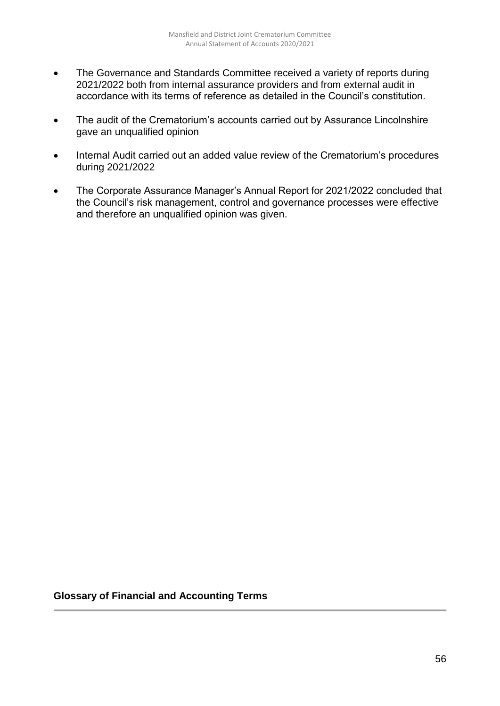- The Governance and Standards Committee received a variety of reports during 2021/2022 both from internal assurance providers and from external audit in accordance with its terms of reference as detailed in the Council's constitution.
- The audit of the Crematorium's accounts carried out by Assurance Lincolnshire gave an unqualified opinion
- Internal Audit carried out an added value review of the Crematorium's procedures during 2021/2022
- The Corporate Assurance Manager's Annual Report for 2021/2022 concluded that the Council's risk management, control and governance processes were effective and therefore an unqualified opinion was given.

## **Glossary of Financial and Accounting Terms**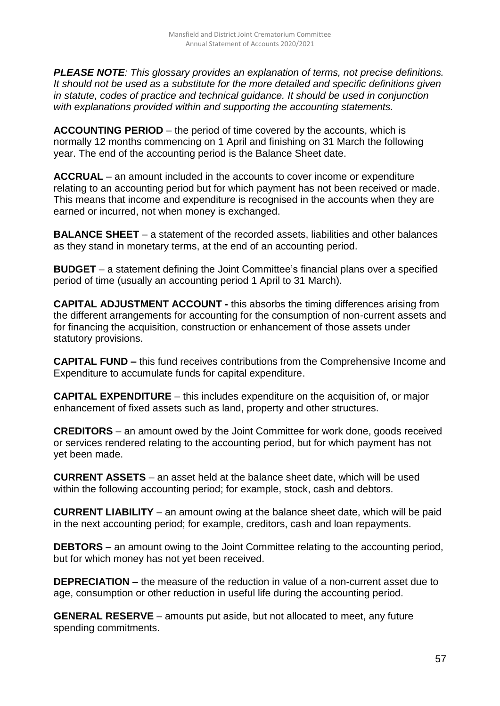*PLEASE NOTE: This glossary provides an explanation of terms, not precise definitions. It should not be used as a substitute for the more detailed and specific definitions given in statute, codes of practice and technical guidance. It should be used in conjunction with explanations provided within and supporting the accounting statements.*

**ACCOUNTING PERIOD** – the period of time covered by the accounts, which is normally 12 months commencing on 1 April and finishing on 31 March the following year. The end of the accounting period is the Balance Sheet date.

**ACCRUAL** – an amount included in the accounts to cover income or expenditure relating to an accounting period but for which payment has not been received or made. This means that income and expenditure is recognised in the accounts when they are earned or incurred, not when money is exchanged.

**BALANCE SHEET** – a statement of the recorded assets, liabilities and other balances as they stand in monetary terms, at the end of an accounting period.

**BUDGET** – a statement defining the Joint Committee's financial plans over a specified period of time (usually an accounting period 1 April to 31 March).

**CAPITAL ADJUSTMENT ACCOUNT -** this absorbs the timing differences arising from the different arrangements for accounting for the consumption of non-current assets and for financing the acquisition, construction or enhancement of those assets under statutory provisions.

**CAPITAL FUND –** this fund receives contributions from the Comprehensive Income and Expenditure to accumulate funds for capital expenditure.

**CAPITAL EXPENDITURE** – this includes expenditure on the acquisition of, or major enhancement of fixed assets such as land, property and other structures.

**CREDITORS** – an amount owed by the Joint Committee for work done, goods received or services rendered relating to the accounting period, but for which payment has not yet been made.

**CURRENT ASSETS** – an asset held at the balance sheet date, which will be used within the following accounting period; for example, stock, cash and debtors.

**CURRENT LIABILITY** – an amount owing at the balance sheet date, which will be paid in the next accounting period; for example, creditors, cash and loan repayments.

**DEBTORS** – an amount owing to the Joint Committee relating to the accounting period, but for which money has not yet been received.

**DEPRECIATION** – the measure of the reduction in value of a non-current asset due to age, consumption or other reduction in useful life during the accounting period.

**GENERAL RESERVE** – amounts put aside, but not allocated to meet, any future spending commitments.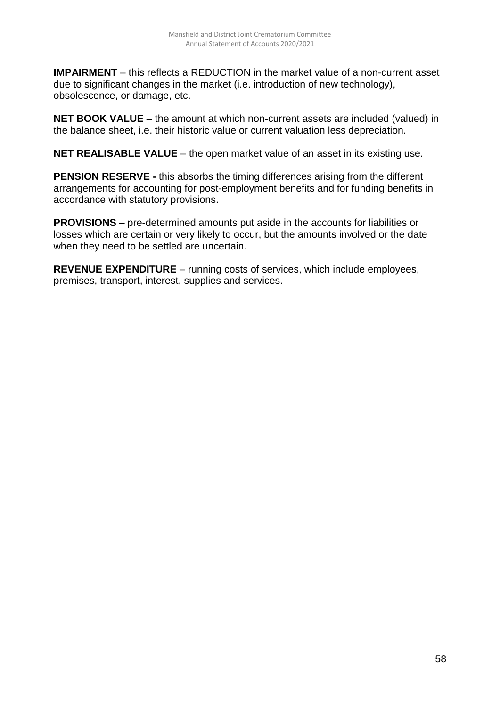**IMPAIRMENT** – this reflects a REDUCTION in the market value of a non-current asset due to significant changes in the market (i.e. introduction of new technology), obsolescence, or damage, etc.

**NET BOOK VALUE** – the amount at which non-current assets are included (valued) in the balance sheet, i.e. their historic value or current valuation less depreciation.

**NET REALISABLE VALUE** – the open market value of an asset in its existing use.

**PENSION RESERVE -** this absorbs the timing differences arising from the different arrangements for accounting for post-employment benefits and for funding benefits in accordance with statutory provisions.

**PROVISIONS** – pre-determined amounts put aside in the accounts for liabilities or losses which are certain or very likely to occur, but the amounts involved or the date when they need to be settled are uncertain.

**REVENUE EXPENDITURE** – running costs of services, which include employees, premises, transport, interest, supplies and services.